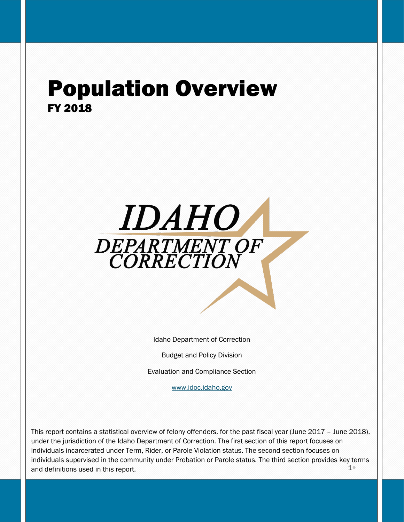# Population Overview FY 2018



Idaho Department of Correction

Budget and Policy Division

Evaluation and Compliance Section

[www.idoc.idaho.gov](http://www.idoc.idaho.gov/)

 $1<sup>°</sup>$ This report contains a statistical overview of felony offenders, for the past fiscal year (June 2017 – June 2018), under the jurisdiction of the Idaho Department of Correction. The first section of this report focuses on individuals incarcerated under Term, Rider, or Parole Violation status. The second section focuses on individuals supervised in the community under Probation or Parole status. The third section provides key terms and definitions used in this report.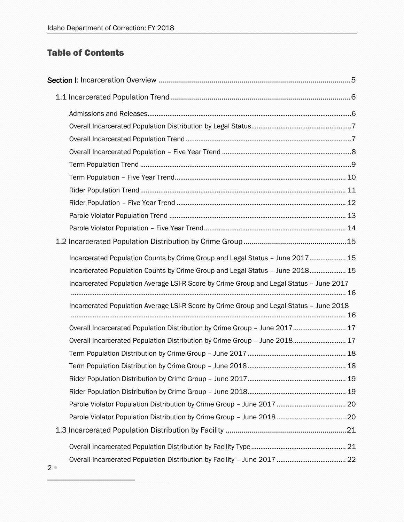# Table of Contents

| Incarcerated Population Counts by Crime Group and Legal Status - June 2017 15           |  |
|-----------------------------------------------------------------------------------------|--|
| Incarcerated Population Counts by Crime Group and Legal Status - June 2018 15           |  |
| Incarcerated Population Average LSI-R Score by Crime Group and Legal Status - June 2017 |  |
| Incarcerated Population Average LSI-R Score by Crime Group and Legal Status - June 2018 |  |
|                                                                                         |  |
| Overall Incarcerated Population Distribution by Crime Group - June 2017 17              |  |
| Overall Incarcerated Population Distribution by Crime Group - June 2018 17              |  |
|                                                                                         |  |
|                                                                                         |  |
|                                                                                         |  |
|                                                                                         |  |
|                                                                                         |  |
|                                                                                         |  |
|                                                                                         |  |
|                                                                                         |  |
|                                                                                         |  |
|                                                                                         |  |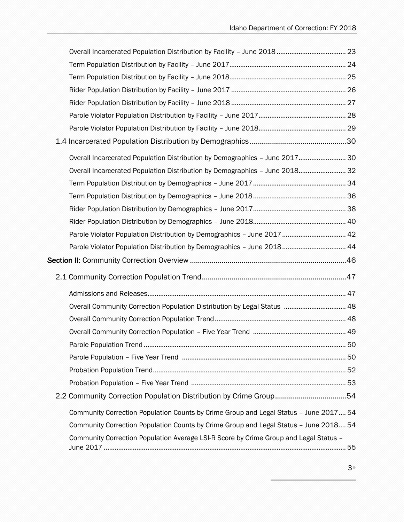| Overall Incarcerated Population Distribution by Demographics - June 2017 30           |  |
|---------------------------------------------------------------------------------------|--|
| Overall Incarcerated Population Distribution by Demographics - June 2018 32           |  |
|                                                                                       |  |
|                                                                                       |  |
|                                                                                       |  |
|                                                                                       |  |
| Parole Violator Population Distribution by Demographics - June 2017  42               |  |
| Parole Violator Population Distribution by Demographics - June 2018 44                |  |
|                                                                                       |  |
|                                                                                       |  |
|                                                                                       |  |
| Overall Community Correction Population Distribution by Legal Status  48              |  |
|                                                                                       |  |
|                                                                                       |  |
|                                                                                       |  |
|                                                                                       |  |
|                                                                                       |  |
|                                                                                       |  |
|                                                                                       |  |
| Community Correction Population Counts by Crime Group and Legal Status - June 2017 54 |  |
| Community Correction Population Counts by Crime Group and Legal Status - June 2018 54 |  |
| Community Correction Population Average LSI-R Score by Crime Group and Legal Status - |  |
|                                                                                       |  |

÷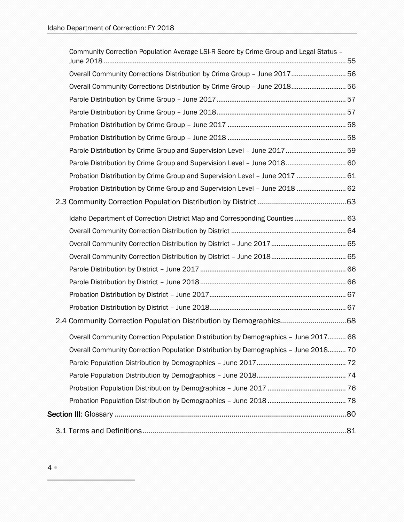| Community Correction Population Average LSI-R Score by Crime Group and Legal Status - |  |
|---------------------------------------------------------------------------------------|--|
| Overall Community Corrections Distribution by Crime Group - June 2017 56              |  |
| Overall Community Corrections Distribution by Crime Group - June 2018 56              |  |
|                                                                                       |  |
|                                                                                       |  |
|                                                                                       |  |
|                                                                                       |  |
| Parole Distribution by Crime Group and Supervision Level - June 2017  59              |  |
|                                                                                       |  |
| Probation Distribution by Crime Group and Supervision Level - June 2017  61           |  |
| Probation Distribution by Crime Group and Supervision Level - June 2018  62           |  |
|                                                                                       |  |
| Idaho Department of Correction District Map and Corresponding Counties 63             |  |
|                                                                                       |  |
|                                                                                       |  |
|                                                                                       |  |
|                                                                                       |  |
|                                                                                       |  |
|                                                                                       |  |
|                                                                                       |  |
|                                                                                       |  |
| Overall Community Correction Population Distribution by Demographics - June 2017 68   |  |
| Overall Community Correction Population Distribution by Demographics - June 2018 70   |  |
|                                                                                       |  |
|                                                                                       |  |
|                                                                                       |  |
|                                                                                       |  |
|                                                                                       |  |
|                                                                                       |  |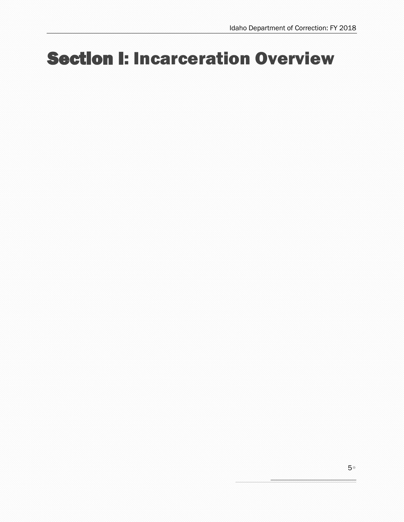# <span id="page-4-0"></span>Section I: Incarceration Overview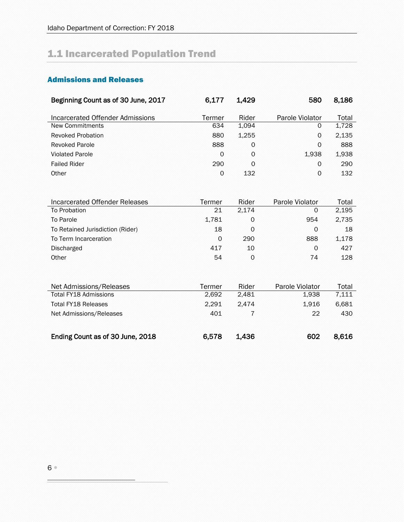# <span id="page-5-0"></span>1.1 Incarcerated Population Trend

# <span id="page-5-1"></span>Admissions and Releases

| Beginning Count as of 30 June, 2017 | 6,177  | 1,429 | 580             | 8,186 |
|-------------------------------------|--------|-------|-----------------|-------|
|                                     |        |       |                 |       |
| Incarcerated Offender Admissions    | Termer | Rider | Parole Violator | Total |
| New Commitments                     | 634    | 1,094 | 0               | 1,728 |
| <b>Revoked Probation</b>            | 880    | 1,255 | 0               | 2,135 |
| <b>Revoked Parole</b>               | 888    | 0     | 0               | 888   |
| <b>Violated Parole</b>              | 0      | 0     | 1,938           | 1,938 |
| <b>Failed Rider</b>                 | 290    | 0     | 0               | 290   |
| Other                               | 0      | 132   | $\Omega$        | 132   |
|                                     |        |       |                 |       |
|                                     |        |       |                 |       |
| Incarcerated Offender Releases      | Termer | Rider | Parole Violator | Total |
| To Probation                        | 21     | 2,174 | 0               | 2,195 |
| To Parole                           | 1,781  | 0     | 954             | 2,735 |
| To Retained Jurisdiction (Rider)    | 18     | 0     | $\Omega$        | 18    |
| To Term Incarceration               | 0      | 290   | 888             | 1,178 |
| Discharged                          | 417    | 10    | $\Omega$        | 427   |
| Other                               | 54     | 0     | 74              | 128   |

| Net Admissions/Releases          | Termer | Rider | Parole Violator | Total |
|----------------------------------|--------|-------|-----------------|-------|
| Total FY18 Admissions            | 2.692  | 2.481 | 1.938           | 7,111 |
| Total FY18 Releases              | 2.291  | 2.474 | 1.916           | 6,681 |
| Net Admissions/Releases          | 401    |       | 22              | 430   |
| Ending Count as of 30 June, 2018 | 6,578  | 1,436 | 602             | 8.616 |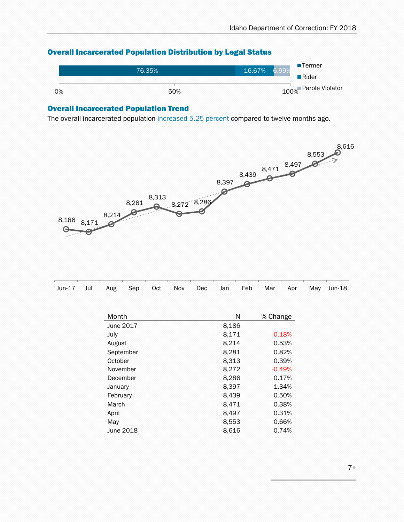

## <span id="page-6-0"></span>Overall Incarcerated Population Distribution by Legal Status

#### <span id="page-6-1"></span>Overall Incarcerated Population Trend

The overall incarcerated population increased 5.25 percent compared to twelve months ago.



| IN SERVICE SON DE SON DE SON DE SON DE SON DE SON DE SON DE SON DE SON DE SON DE SON DE SON DE SON DE SON DE SON DE SON DE SON DE SON DE SON DE SON DE SON DE SON DE SON DE SON DE SON DE SON DE SON DE SON DE SON DE SON DE S |  |  |  |  |  |  |
|--------------------------------------------------------------------------------------------------------------------------------------------------------------------------------------------------------------------------------|--|--|--|--|--|--|
| Jun-17 Jul Aug Sep Oct Nov Dec Jan Feb Mar Apr May Jun-18                                                                                                                                                                      |  |  |  |  |  |  |

| Month     | Ν     | % Change |
|-----------|-------|----------|
| June 2017 | 8.186 |          |
| July      | 8,171 | $-0.18%$ |
| August    | 8,214 | 0.53%    |
| September | 8,281 | 0.82%    |
| October   | 8,313 | 0.39%    |
| November  | 8,272 | $-0.49%$ |
| December  | 8,286 | 0.17%    |
| January   | 8.397 | 1.34%    |
| February  | 8.439 | 0.50%    |
| March     | 8,471 | 0.38%    |
| April     | 8,497 | 0.31%    |
| May       | 8,553 | 0.66%    |
| June 2018 | 8,616 | 0.74%    |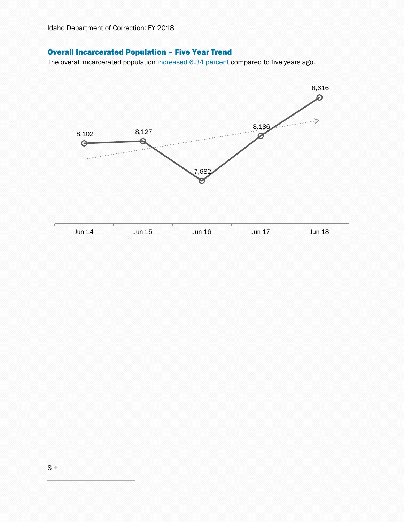# <span id="page-7-0"></span>Overall Incarcerated Population – Five Year Trend

The overall incarcerated population increased 6.34 percent compared to five years ago.

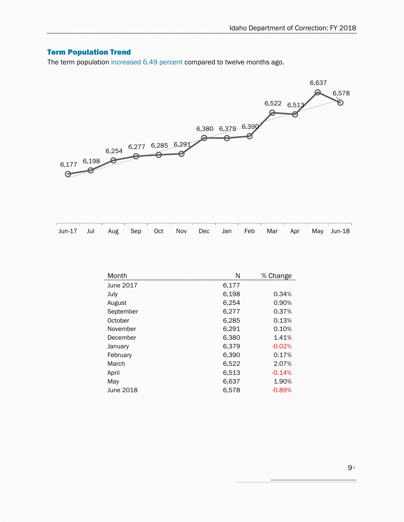# <span id="page-8-0"></span>Term Population Trend

The term population increased 6.49 percent compared to twelve months ago.



| Jun-17 Jul Aug Sep Oct Nov Dec Jan Feb Mar Apr May Jun-18 |  |  |  |  |  |  |  |  |  |  |  |
|-----------------------------------------------------------|--|--|--|--|--|--|--|--|--|--|--|
|-----------------------------------------------------------|--|--|--|--|--|--|--|--|--|--|--|

| Month     | N     | % Change |
|-----------|-------|----------|
| June 2017 | 6.177 |          |
| July      | 6,198 | 0.34%    |
| August    | 6,254 | 0.90%    |
| September | 6,277 | 0.37%    |
| October   | 6,285 | 0.13%    |
| November  | 6,291 | 0.10%    |
| December  | 6,380 | 1.41%    |
| January   | 6.379 | $-0.02%$ |
| February  | 6,390 | 0.17%    |
| March     | 6,522 | 2.07%    |
| April     | 6,513 | $-0.14%$ |
| May       | 6,637 | 1.90%    |
| June 2018 | 6,578 | $-0.89%$ |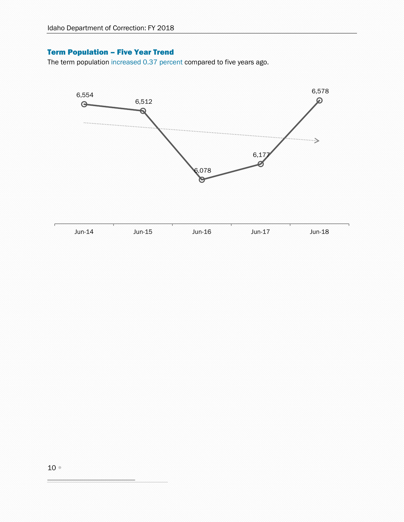## <span id="page-9-0"></span>Term Population – Five Year Trend

The term population increased 0.37 percent compared to five years ago.

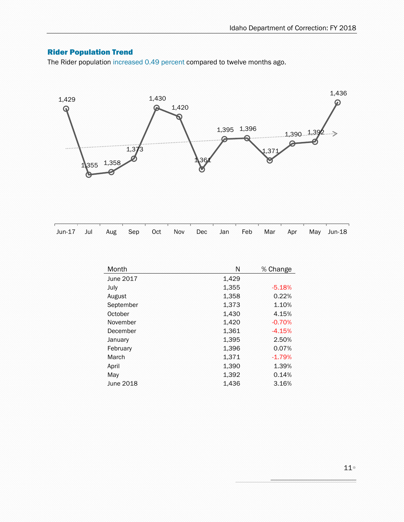# <span id="page-10-0"></span>Rider Population Trend

The Rider population increased 0.49 percent compared to twelve months ago.



| Jun-17 Jul Aug Sep Oct Nov Dec Jan Feb Mar Apr May Jun-18 |  |  |  |  |  |  |
|-----------------------------------------------------------|--|--|--|--|--|--|

| Month     | Ν     | % Change |
|-----------|-------|----------|
| June 2017 | 1,429 |          |
| July      | 1,355 | $-5.18%$ |
| August    | 1,358 | 0.22%    |
| September | 1,373 | 1.10%    |
| October   | 1,430 | 4.15%    |
| November  | 1,420 | $-0.70%$ |
| December  | 1,361 | $-4.15%$ |
| January   | 1,395 | 2.50%    |
| February  | 1,396 | 0.07%    |
| March     | 1,371 | $-1.79%$ |
| April     | 1,390 | 1.39%    |
| May       | 1,392 | 0.14%    |
| June 2018 | 1,436 | 3.16%    |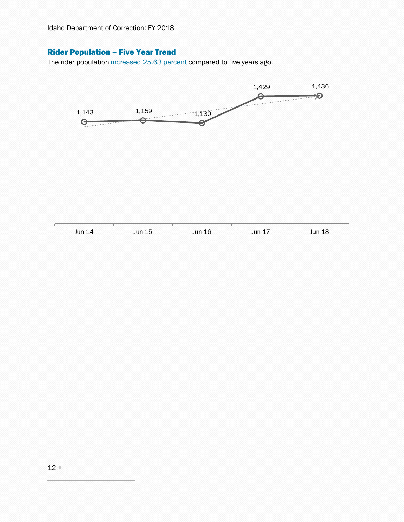## <span id="page-11-0"></span>Rider Population – Five Year Trend

The rider population increased 25.63 percent compared to five years ago.

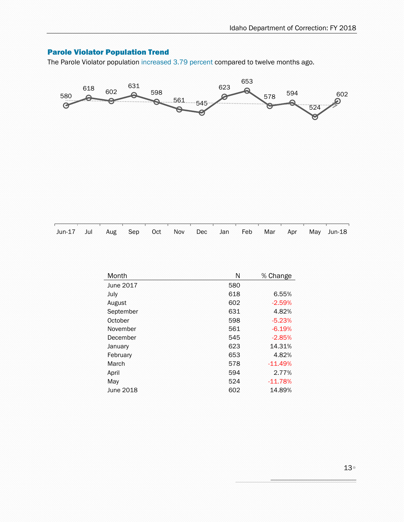# <span id="page-12-0"></span>Parole Violator Population Trend

The Parole Violator population increased 3.79 percent compared to twelve months ago.



| Jun-17 Jul Aug Sep Oct Nov Dec Jan Feb Mar Apr May Jun-18 |  |  |  |  |  |  |  |  |  |  |  |  |  |
|-----------------------------------------------------------|--|--|--|--|--|--|--|--|--|--|--|--|--|
|-----------------------------------------------------------|--|--|--|--|--|--|--|--|--|--|--|--|--|

| Month     | N   | % Change  |
|-----------|-----|-----------|
| June 2017 | 580 |           |
| July      | 618 | 6.55%     |
| August    | 602 | $-2.59%$  |
| September | 631 | 4.82%     |
| October   | 598 | $-5.23%$  |
| November  | 561 | $-6.19%$  |
| December  | 545 | $-2.85%$  |
| January   | 623 | 14.31%    |
| February  | 653 | 4.82%     |
| March     | 578 | $-11.49%$ |
| April     | 594 | 2.77%     |
| May       | 524 | $-11.78%$ |
| June 2018 | 602 | 14.89%    |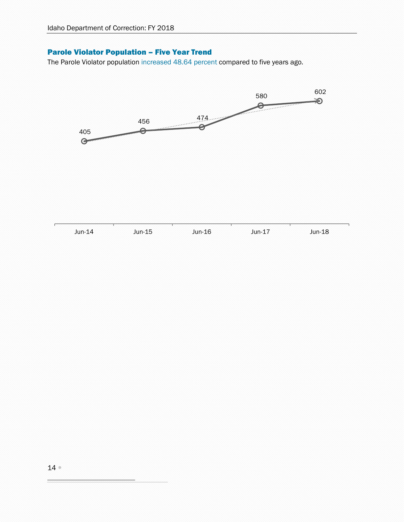## <span id="page-13-0"></span>Parole Violator Population – Five Year Trend

The Parole Violator population increased 48.64 percent compared to five years ago.

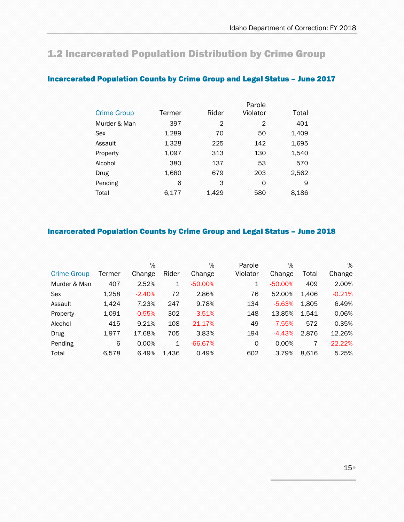# <span id="page-14-0"></span>1.2 Incarcerated Population Distribution by Crime Group

|                    |        |       | Parole   |       |
|--------------------|--------|-------|----------|-------|
| <b>Crime Group</b> | Termer | Rider | Violator | Total |
| Murder & Man       | 397    | 2     | 2        | 401   |
| Sex                | 1,289  | 70    | 50       | 1,409 |
| Assault            | 1,328  | 225   | 142      | 1,695 |
| Property           | 1,097  | 313   | 130      | 1,540 |
| Alcohol            | 380    | 137   | 53       | 570   |
| Drug               | 1,680  | 679   | 203      | 2,562 |
| Pending            | 6      | 3     | 0        | 9     |
| Total              | 6.177  | 1,429 | 580      | 8,186 |

## <span id="page-14-1"></span>Incarcerated Population Counts by Crime Group and Legal Status – June 2017

## <span id="page-14-2"></span>Incarcerated Population Counts by Crime Group and Legal Status – June 2018

|                    |        | %        |              | %         | Parole   | %         |       | %         |
|--------------------|--------|----------|--------------|-----------|----------|-----------|-------|-----------|
| <b>Crime Group</b> | Termer | Change   | Rider        | Change    | Violator | Change    | Total | Change    |
| Murder & Man       | 407    | 2.52%    | 1            | $-50.00%$ | 1        | $-50.00%$ | 409   | 2.00%     |
| Sex                | 1,258  | $-2.40%$ | 72           | 2.86%     | 76       | 52.00%    | 1,406 | $-0.21%$  |
| Assault            | 1,424  | 7.23%    | 247          | 9.78%     | 134      | $-5.63%$  | 1,805 | 6.49%     |
| Property           | 1,091  | $-0.55%$ | 302          | $-3.51%$  | 148      | 13.85%    | 1,541 | 0.06%     |
| Alcohol            | 415    | 9.21%    | 108          | $-21.17%$ | 49       | $-7.55%$  | 572   | 0.35%     |
| Drug               | 1,977  | 17.68%   | 705          | 3.83%     | 194      | $-4.43%$  | 2,876 | 12.26%    |
| Pending            | 6      | 0.00%    | $\mathbf{1}$ | $-66.67%$ | 0        | 0.00%     | 7     | $-22.22%$ |
| Total              | 6.578  | 6.49%    | 1,436        | 0.49%     | 602      | 3.79%     | 8.616 | 5.25%     |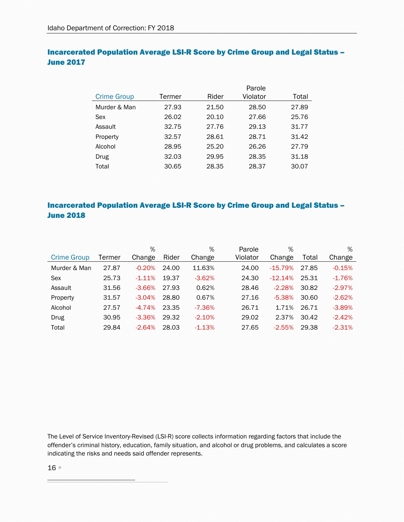## <span id="page-15-0"></span>Incarcerated Population Average LSI-R Score by Crime Group and Legal Status – June 2017

|                    |        |       | Parole   |       |
|--------------------|--------|-------|----------|-------|
| <b>Crime Group</b> | Termer | Rider | Violator | Total |
| Murder & Man       | 27.93  | 21.50 | 28.50    | 27.89 |
| Sex                | 26.02  | 20.10 | 27.66    | 25.76 |
| Assault            | 32.75  | 27.76 | 29.13    | 31.77 |
| Property           | 32.57  | 28.61 | 28.71    | 31.42 |
| Alcohol            | 28.95  | 25.20 | 26.26    | 27.79 |
| Drug               | 32.03  | 29.95 | 28.35    | 31.18 |
| Total              | 30.65  | 28.35 | 28.37    | 30.07 |
|                    |        |       |          |       |

# <span id="page-15-1"></span>Incarcerated Population Average LSI-R Score by Crime Group and Legal Status – June 2018

|                    |        | %         |       | %        | Parole   | %         |       | %        |
|--------------------|--------|-----------|-------|----------|----------|-----------|-------|----------|
| <b>Crime Group</b> | Termer | Change    | Rider | Change   | Violator | Change    | Total | Change   |
| Murder & Man       | 27.87  | $-0.20%$  | 24.00 | 11.63%   | 24.00    | $-15.79%$ | 27.85 | $-0.15%$ |
| Sex                | 25.73  | $-1.11\%$ | 19.37 | $-3.62%$ | 24.30    | $-12.14%$ | 25.31 | $-1.76%$ |
| Assault            | 31.56  | $-3.66%$  | 27.93 | 0.62%    | 28.46    | $-2.28%$  | 30.82 | $-2.97%$ |
| Property           | 31.57  | $-3.04%$  | 28.80 | 0.67%    | 27.16    | $-5.38%$  | 30.60 | $-2.62%$ |
| Alcohol            | 27.57  | $-4.74%$  | 23.35 | $-7.36%$ | 26.71    | 1.71%     | 26.71 | $-3.89%$ |
| <b>Drug</b>        | 30.95  | $-3.36%$  | 29.32 | $-2.10%$ | 29.02    | 2.37%     | 30.42 | $-2.42%$ |
| Total              | 29.84  | $-2.64%$  | 28.03 | $-1.13%$ | 27.65    | $-2.55%$  | 29.38 | $-2.31%$ |

The Level of Service Inventory-Revised (LSI-R) score collects information regarding factors that include the offender's criminal history, education, family situation, and alcohol or drug problems, and calculates a score indicating the risks and needs said offender represents.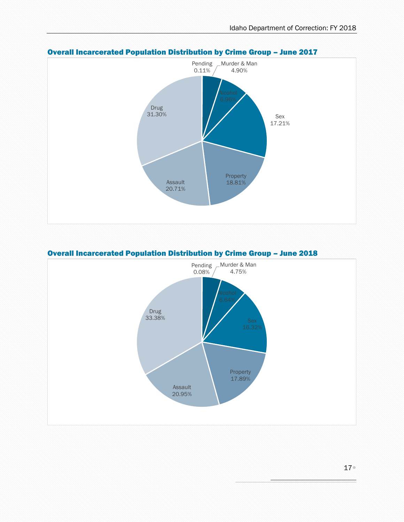

#### <span id="page-16-0"></span>Overall Incarcerated Population Distribution by Crime Group – June 2017



#### <span id="page-16-1"></span>Overall Incarcerated Population Distribution by Crime Group – June 2018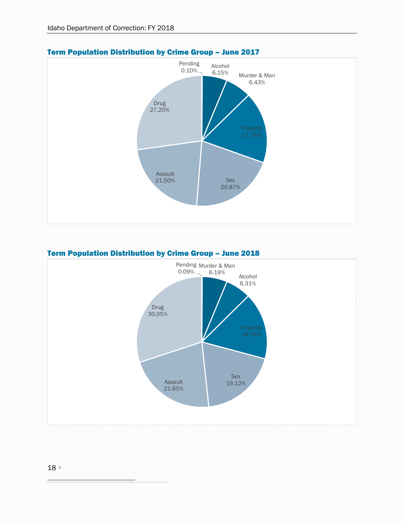

## <span id="page-17-0"></span>Term Population Distribution by Crime Group – June 2017

#### <span id="page-17-1"></span>Term Population Distribution by Crime Group – June 2018

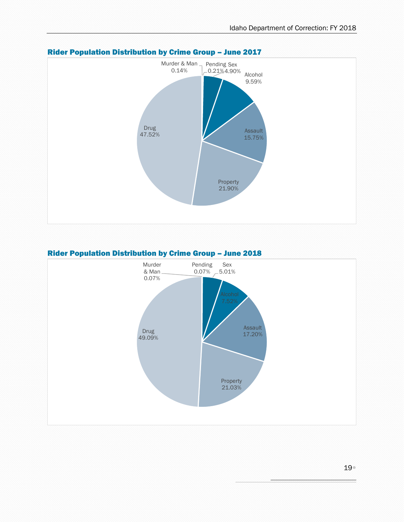

## <span id="page-18-0"></span>Rider Population Distribution by Crime Group – June 2017

#### <span id="page-18-1"></span>Rider Population Distribution by Crime Group – June 2018

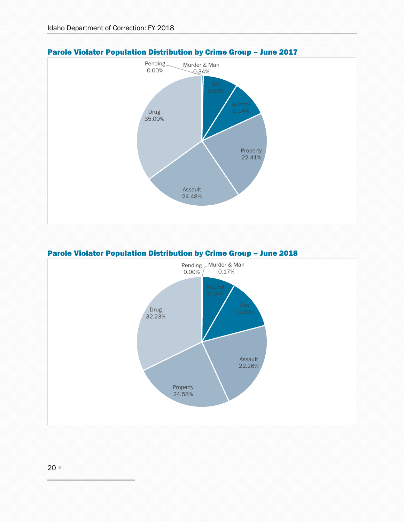

#### <span id="page-19-0"></span>Parole Violator Population Distribution by Crime Group – June 2017

#### <span id="page-19-1"></span>Parole Violator Population Distribution by Crime Group – June 2018

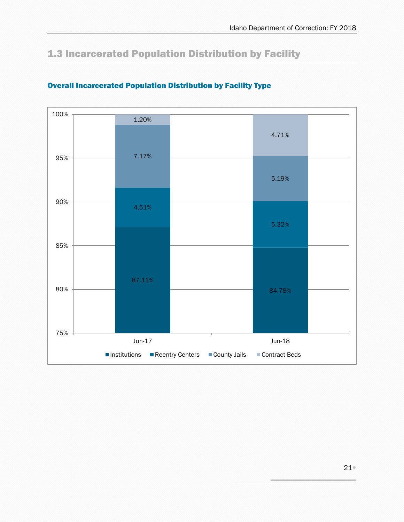# <span id="page-20-0"></span>1.3 Incarcerated Population Distribution by Facility



# <span id="page-20-1"></span>Overall Incarcerated Population Distribution by Facility Type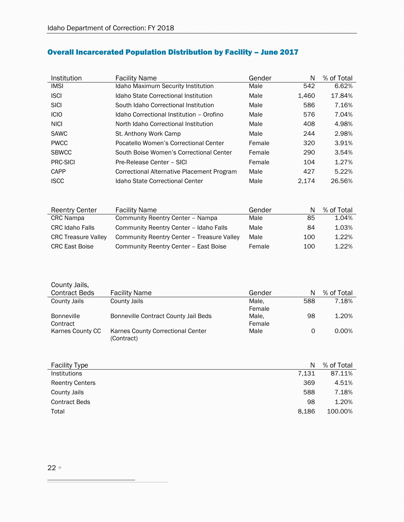| Institution  | <b>Facility Name</b>                       | Gender | N     | % of Total |
|--------------|--------------------------------------------|--------|-------|------------|
| <b>IMSI</b>  | Idaho Maximum Security Institution         | Male   | 542   | 6.62%      |
| <b>ISCI</b>  | Idaho State Correctional Institution       | Male   | 1.460 | 17.84%     |
| <b>SICI</b>  | South Idaho Correctional Institution       | Male   | 586   | 7.16%      |
| <b>ICIO</b>  | Idaho Correctional Institution - Orofino   | Male   | 576   | 7.04%      |
| <b>NICI</b>  | North Idaho Correctional Institution       | Male   | 408   | 4.98%      |
| <b>SAWC</b>  | St. Anthony Work Camp                      | Male   | 244   | 2.98%      |
| <b>PWCC</b>  | Pocatello Women's Correctional Center      | Female | 320   | 3.91%      |
| <b>SBWCC</b> | South Boise Women's Correctional Center    | Female | 290   | 3.54%      |
| PRC-SICI     | Pre-Release Center - SICI                  | Female | 104   | 1.27%      |
| CAPP         | Correctional Alternative Placement Program | Male   | 427   | 5.22%      |
| <b>ISCC</b>  | Idaho State Correctional Center            | Male   | 2.174 | 26.56%     |

# <span id="page-21-0"></span>Overall Incarcerated Population Distribution by Facility – June 2017

| <b>Reentry Center</b>      | <b>Facility Name</b>                       | Gender | N   | % of Total |
|----------------------------|--------------------------------------------|--------|-----|------------|
| <b>CRC</b> Nampa           | Community Reentry Center - Nampa           | Male   | 85  | 1.04%      |
| <b>CRC Idaho Falls</b>     | Community Reentry Center - Idaho Falls     | Male   | 84  | 1.03%      |
| <b>CRC Treasure Valley</b> | Community Reentry Center - Treasure Valley | Male   | 100 | 1.22%      |
| <b>CRC East Boise</b>      | Community Reentry Center - East Boise      | Female | 100 | 1.22%      |

| County Jails,        |                                      |        |     |            |
|----------------------|--------------------------------------|--------|-----|------------|
| <b>Contract Beds</b> | <b>Facility Name</b>                 | Gender | N   | % of Total |
| County Jails         | County Jails                         | Male.  | 588 | 7.18%      |
|                      |                                      | Female |     |            |
| <b>Bonneville</b>    | Bonneville Contract County Jail Beds | Male.  | 98  | 1.20%      |
| Contract             |                                      | Female |     |            |
| Karnes County CC     | Karnes County Correctional Center    | Male   | 0   | $0.00\%$   |
|                      | (Contract)                           |        |     |            |

| <b>Facility Type</b>   | N     | % of Total |
|------------------------|-------|------------|
| <b>Institutions</b>    | 7.131 | 87.11%     |
| <b>Reentry Centers</b> | 369   | 4.51%      |
| County Jails           | 588   | 7.18%      |
| <b>Contract Beds</b>   | 98    | 1.20%      |
| Total                  | 8.186 | 100.00%    |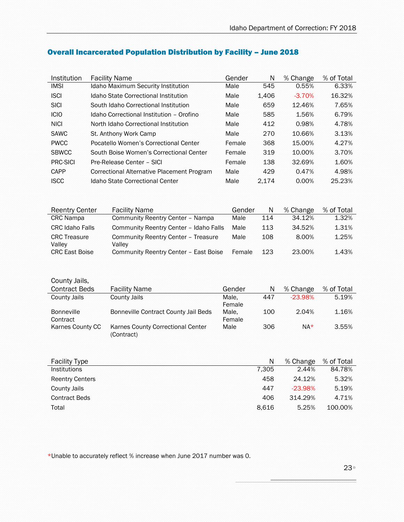| Institution  | <b>Facility Name</b>                       | Gender | N     | % Change | % of Total |
|--------------|--------------------------------------------|--------|-------|----------|------------|
| <b>IMSI</b>  | <b>Idaho Maximum Security Institution</b>  | Male   | 545   | 0.55%    | 6.33%      |
| <b>ISCI</b>  | Idaho State Correctional Institution       | Male   | 1.406 | $-3.70%$ | 16.32%     |
| <b>SICI</b>  | South Idaho Correctional Institution       | Male   | 659   | 12.46%   | 7.65%      |
| <b>ICIO</b>  | Idaho Correctional Institution - Orofino   | Male   | 585   | 1.56%    | 6.79%      |
| <b>NICI</b>  | North Idaho Correctional Institution       | Male   | 412   | 0.98%    | 4.78%      |
| <b>SAWC</b>  | St. Anthony Work Camp                      | Male   | 270   | 10.66%   | 3.13%      |
| <b>PWCC</b>  | Pocatello Women's Correctional Center      | Female | 368   | 15.00%   | 4.27%      |
| <b>SBWCC</b> | South Boise Women's Correctional Center    | Female | 319   | 10.00%   | 3.70%      |
| PRC-SICI     | Pre-Release Center - SICI                  | Female | 138   | 32.69%   | 1.60%      |
| CAPP         | Correctional Alternative Placement Program | Male   | 429   | 0.47%    | 4.98%      |
| <b>ISCC</b>  | Idaho State Correctional Center            | Male   | 2.174 | $0.00\%$ | 25.23%     |
|              |                                            |        |       |          |            |

# <span id="page-22-0"></span>Overall Incarcerated Population Distribution by Facility – June 2018

| <b>Reentry Center</b>         | <b>Facility Name</b>                          | Gender | N   | % Change | % of Total |
|-------------------------------|-----------------------------------------------|--------|-----|----------|------------|
| <b>CRC</b> Nampa              | Community Reentry Center - Nampa              | Male   | 114 | 34.12%   | 1.32%      |
| <b>CRC Idaho Falls</b>        | Community Reentry Center - Idaho Falls        | Male   | 113 | 34.52%   | 1.31%      |
| <b>CRC</b> Treasure<br>Valley | Community Reentry Center - Treasure<br>Valley | Male   | 108 | 8.00%    | 1.25%      |
| <b>CRC East Boise</b>         | Community Reentry Center - East Boise         | Female | 123 | 23.00%   | 1.43%      |

| County Jails,                 |                                                 |                 |     |           |            |
|-------------------------------|-------------------------------------------------|-----------------|-----|-----------|------------|
| <b>Contract Beds</b>          | <b>Facility Name</b>                            | Gender          | N   | % Change  | % of Total |
| County Jails                  | County Jails                                    | Male.<br>Female | 447 | $-23.98%$ | 5.19%      |
| <b>Bonneville</b><br>Contract | Bonneville Contract County Jail Beds            | Male.<br>Female | 100 | 2.04%     | 1.16%      |
| Karnes County CC              | Karnes County Correctional Center<br>(Contract) | Male            | 306 | $NA*$     | 3.55%      |

| <b>Facility Type</b>   | N     | % Change  | % of Total |
|------------------------|-------|-----------|------------|
| <b>Institutions</b>    | 7.305 | 2.44%     | 84.78%     |
| <b>Reentry Centers</b> | 458   | 24.12%    | 5.32%      |
| County Jails           | 447   | $-23.98%$ | 5.19%      |
| <b>Contract Beds</b>   | 406   | 314.29%   | 4.71%      |
| Total                  | 8.616 | 5.25%     | 100.00%    |

\*Unable to accurately reflect % increase when June 2017 number was 0.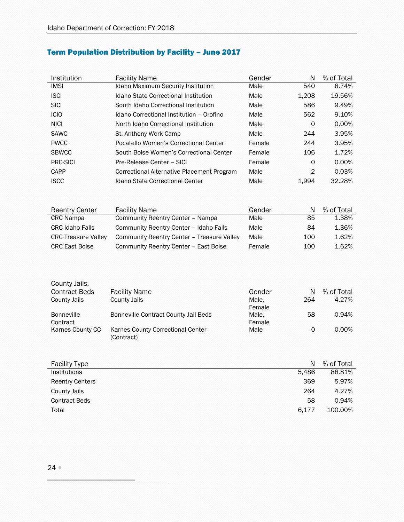# <span id="page-23-0"></span>Term Population Distribution by Facility – June 2017

| Institution  | <b>Facility Name</b>                       | Gender | N              | % of Total |
|--------------|--------------------------------------------|--------|----------------|------------|
| <b>IMSI</b>  | Idaho Maximum Security Institution         | Male   | 540            | 8.74%      |
| <b>ISCI</b>  | Idaho State Correctional Institution       | Male   | 1.208          | 19.56%     |
| <b>SICI</b>  | South Idaho Correctional Institution       | Male   | 586            | 9.49%      |
| <b>ICIO</b>  | Idaho Correctional Institution - Orofino   | Male   | 562            | 9.10%      |
| <b>NICI</b>  | North Idaho Correctional Institution       | Male   | 0              | 0.00%      |
| <b>SAWC</b>  | St. Anthony Work Camp                      | Male   | 244            | 3.95%      |
| <b>PWCC</b>  | Pocatello Women's Correctional Center      | Female | 244            | 3.95%      |
| <b>SBWCC</b> | South Boise Women's Correctional Center    | Female | 106            | 1.72%      |
| PRC-SICI     | Pre-Release Center - SICI                  | Female | 0              | 0.00%      |
| CAPP         | Correctional Alternative Placement Program | Male   | $\overline{2}$ | 0.03%      |
| <b>ISCC</b>  | Idaho State Correctional Center            | Male   | 1.994          | 32.28%     |

| <b>Reentry Center</b>      | <b>Facility Name</b>                       | Gender |     | % of Total |
|----------------------------|--------------------------------------------|--------|-----|------------|
| <b>CRC</b> Nampa           | Community Reentry Center - Nampa           | Male   | 85  | 1.38%      |
| <b>CRC Idaho Falls</b>     | Community Reentry Center - Idaho Falls     | Male   | 84  | 1.36%      |
| <b>CRC Treasure Valley</b> | Community Reentry Center - Treasure Valley | Male   | 100 | 1.62%      |
| <b>CRC East Boise</b>      | Community Reentry Center - East Boise      | Female | 100 | 1.62%      |

| County Jails,<br><b>Contract Beds</b> | <b>Facility Name</b>                            | Gender | N   | % of Total |
|---------------------------------------|-------------------------------------------------|--------|-----|------------|
| County Jails                          | County Jails                                    | Male.  | 264 | 4.27%      |
|                                       |                                                 | Female |     |            |
| <b>Bonneville</b>                     | Bonneville Contract County Jail Beds            | Male.  | 58  | 0.94%      |
| Contract                              |                                                 | Female |     |            |
| Karnes County CC                      | Karnes County Correctional Center<br>(Contract) | Male   | 0   | 0.00%      |

| <b>Facility Type</b>   | N     | % of Total |
|------------------------|-------|------------|
| <b>Institutions</b>    | 5.486 | 88.81%     |
| <b>Reentry Centers</b> | 369   | 5.97%      |
| County Jails           | 264   | 4.27%      |
| <b>Contract Beds</b>   | 58    | 0.94%      |
| Total                  | 6.177 | 100.00%    |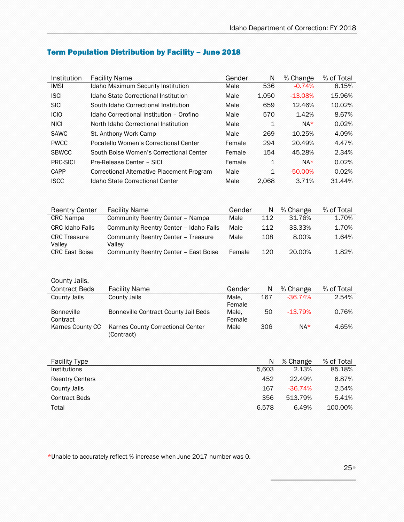| Institution     | <b>Facility Name</b>                       | Gender | N     | % Change   | % of Total |
|-----------------|--------------------------------------------|--------|-------|------------|------------|
| <b>IMSI</b>     | Idaho Maximum Security Institution         | Male   | 536   | $-0.74%$   | 8.15%      |
| <b>ISCI</b>     | Idaho State Correctional Institution       | Male   | 1.050 | $-13.08%$  | 15.96%     |
| <b>SICI</b>     | South Idaho Correctional Institution       | Male   | 659   | 12.46%     | 10.02%     |
| <b>ICIO</b>     | Idaho Correctional Institution - Orofino   | Male   | 570   | 1.42%      | 8.67%      |
| <b>NICI</b>     | North Idaho Correctional Institution       | Male   | 1     | $NA*$      | 0.02%      |
| <b>SAWC</b>     | St. Anthony Work Camp                      | Male   | 269   | 10.25%     | 4.09%      |
| <b>PWCC</b>     | Pocatello Women's Correctional Center      | Female | 294   | 20.49%     | 4.47%      |
| <b>SBWCC</b>    | South Boise Women's Correctional Center    | Female | 154   | 45.28%     | 2.34%      |
| <b>PRC-SICI</b> | Pre-Release Center - SICI                  | Female | 1     | $NA*$      | 0.02%      |
| CAPP            | Correctional Alternative Placement Program | Male   | 1     | $-50.00\%$ | 0.02%      |
| <b>ISCC</b>     | Idaho State Correctional Center            | Male   | 2.068 | 3.71%      | 31.44%     |

# <span id="page-24-0"></span>Term Population Distribution by Facility – June 2018

| <b>Reentry Center</b>         | <b>Facility Name</b>                          | Gender | N   | % Change | % of Total |
|-------------------------------|-----------------------------------------------|--------|-----|----------|------------|
| <b>CRC</b> Nampa              | Community Reentry Center - Nampa              | Male   | 112 | 31.76%   | 1.70%      |
| <b>CRC Idaho Falls</b>        | Community Reentry Center - Idaho Falls        | Male   | 112 | 33.33%   | 1.70%      |
| <b>CRC</b> Treasure<br>Valley | Community Reentry Center - Treasure<br>Valley | Male   | 108 | 8.00%    | 1.64%      |
| <b>CRC East Boise</b>         | Community Reentry Center - East Boise         | Female | 120 | 20.00%   | 1.82%      |

| County Jails,                 |                                                 |                 |     |           |            |
|-------------------------------|-------------------------------------------------|-----------------|-----|-----------|------------|
| <b>Contract Beds</b>          | <b>Facility Name</b>                            | Gender          | N   | % Change  | % of Total |
| County Jails                  | <b>County Jails</b>                             | Male.<br>Female | 167 | $-36.74%$ | 2.54%      |
| <b>Bonneville</b><br>Contract | Bonneville Contract County Jail Beds            | Male.<br>Female | 50  | $-13.79%$ | 0.76%      |
| Karnes County CC              | Karnes County Correctional Center<br>(Contract) | Male            | 306 | $NA*$     | 4.65%      |

| <b>Facility Type</b>   | N     | % Change  | % of Total |
|------------------------|-------|-----------|------------|
| <b>Institutions</b>    | 5.603 | 2.13%     | 85.18%     |
| <b>Reentry Centers</b> | 452   | 22.49%    | 6.87%      |
| County Jails           | 167   | $-36.74%$ | 2.54%      |
| <b>Contract Beds</b>   | 356   | 513.79%   | 5.41%      |
| Total                  | 6.578 | 6.49%     | 100.00%    |

\*Unable to accurately reflect % increase when June 2017 number was 0.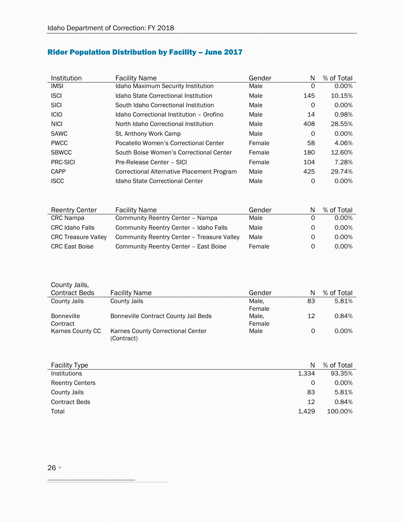# <span id="page-25-0"></span>Rider Population Distribution by Facility – June 2017

| Institution     | <b>Facility Name</b>                       | Gender | N   | % of Total |
|-----------------|--------------------------------------------|--------|-----|------------|
| <b>IMSI</b>     | Idaho Maximum Security Institution         | Male   | 0   | $0.00\%$   |
| <b>ISCI</b>     | Idaho State Correctional Institution       | Male   | 145 | 10.15%     |
| <b>SICI</b>     | South Idaho Correctional Institution       | Male   | 0   | $0.00\%$   |
| <b>ICIO</b>     | Idaho Correctional Institution - Orofino   | Male   | 14  | 0.98%      |
| <b>NICI</b>     | North Idaho Correctional Institution       | Male   | 408 | 28.55%     |
| <b>SAWC</b>     | St. Anthony Work Camp                      | Male   | 0   | 0.00%      |
| <b>PWCC</b>     | Pocatello Women's Correctional Center      | Female | 58  | 4.06%      |
| <b>SBWCC</b>    | South Boise Women's Correctional Center    | Female | 180 | 12.60%     |
| <b>PRC-SICI</b> | Pre-Release Center - SICI                  | Female | 104 | 7.28%      |
| CAPP            | Correctional Alternative Placement Program | Male   | 425 | 29.74%     |
| <b>ISCC</b>     | Idaho State Correctional Center            | Male   | 0   | $0.00\%$   |

| <b>Reentry Center</b>      | <b>Facility Name</b>                       | Gender |   | % of Total |
|----------------------------|--------------------------------------------|--------|---|------------|
| <b>CRC</b> Nampa           | Community Reentry Center - Nampa           | Male   | 0 | 0.00%      |
| <b>CRC Idaho Falls</b>     | Community Reentry Center - Idaho Falls     | Male   | 0 | 0.00%      |
| <b>CRC Treasure Valley</b> | Community Reentry Center - Treasure Valley | Male   | 0 | 0.00%      |
| <b>CRC East Boise</b>      | Community Reentry Center - East Boise      | Female | 0 | $0.00\%$   |

| County Jalis,        |                                      |        |    |            |
|----------------------|--------------------------------------|--------|----|------------|
| <b>Contract Beds</b> | <b>Facility Name</b>                 | Gender | N  | % of Total |
| County Jails         | County Jails                         | Male.  | 83 | 5.81%      |
|                      |                                      | Female |    |            |
| <b>Bonneville</b>    | Bonneville Contract County Jail Beds | Male,  | 12 | 0.84%      |
| Contract             |                                      | Female |    |            |
| Karnes County CC     | Karnes County Correctional Center    | Male   | 0  | $0.00\%$   |
|                      | (Contract)                           |        |    |            |

| <b>Facility Type</b>   | N     | % of Total |
|------------------------|-------|------------|
| Institutions           | 1,334 | 93.35%     |
| <b>Reentry Centers</b> | 0     | 0.00%      |
| County Jails           | 83    | 5.81%      |
| <b>Contract Beds</b>   | 12    | 0.84%      |
| Total                  | 1.429 | 100.00%    |

 $Q_1$  and  $L_1$  Jails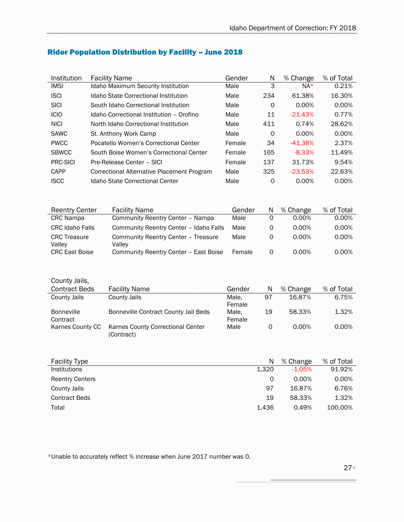| Institution     | <b>Facility Name</b>                       | Gender | N        | % Change  | % of Total |
|-----------------|--------------------------------------------|--------|----------|-----------|------------|
| <b>IMSI</b>     | Idaho Maximum Security Institution         | Male   | 3        | $NA*$     | 0.21%      |
| <b>ISCI</b>     | Idaho State Correctional Institution       | Male   | 234      | 61.38%    | 16.30%     |
| <b>SICI</b>     | South Idaho Correctional Institution       | Male   | $\Omega$ | $0.00\%$  | $0.00\%$   |
| <b>ICIO</b>     | Idaho Correctional Institution - Orofino   | Male   | 11       | $-21.43%$ | 0.77%      |
| <b>NICI</b>     | North Idaho Correctional Institution       | Male   | 411      | 0.74%     | 28.62%     |
| <b>SAWC</b>     | St. Anthony Work Camp                      | Male   | 0        | 0.00%     | 0.00%      |
| <b>PWCC</b>     | Pocatello Women's Correctional Center      | Female | 34       | $-41.38%$ | 2.37%      |
| <b>SBWCC</b>    | South Boise Women's Correctional Center    | Female | 165      | $-8.33%$  | 11.49%     |
| <b>PRC-SICI</b> | Pre-Release Center - SICI                  | Female | 137      | 31.73%    | 9.54%      |
| CAPP            | Correctional Alternative Placement Program | Male   | 325      | $-23.53%$ | 22.63%     |
| <b>ISCC</b>     | Idaho State Correctional Center            | Male   | $\Omega$ | 0.00%     | $0.00\%$   |

# <span id="page-26-0"></span>Rider Population Distribution by Facility – June 2018

| <b>Reentry Center</b>         | <b>Facility Name</b>                          | Gender | N | % Change | % of Total |
|-------------------------------|-----------------------------------------------|--------|---|----------|------------|
| <b>CRC</b> Nampa              | Community Reentry Center - Nampa              | Male   | 0 | $0.00\%$ | 0.00%      |
| <b>CRC Idaho Falls</b>        | Community Reentry Center - Idaho Falls        | Male   | 0 | $0.00\%$ | 0.00%      |
| <b>CRC</b> Treasure<br>Valley | Community Reentry Center - Treasure<br>Vallev | Male   | 0 | $0.00\%$ | $0.00\%$   |
| <b>CRC East Boise</b>         | Community Reentry Center - East Boise         | Female | 0 | $0.00\%$ | $0.00\%$   |

| County Jails,                 |                                                 |                 |    |          |            |
|-------------------------------|-------------------------------------------------|-----------------|----|----------|------------|
| <b>Contract Beds</b>          | <b>Facility Name</b>                            | Gender          | N  | % Change | % of Total |
| County Jails                  | County Jails                                    | Male.<br>Female | 97 | 16.87%   | 6.75%      |
| <b>Bonneville</b><br>Contract | Bonneville Contract County Jail Beds            | Male.<br>Female | 19 | 58.33%   | 1.32%      |
| Karnes County CC              | Karnes County Correctional Center<br>(Contract) | Male            | 0  | $0.00\%$ | $0.00\%$   |

| <b>Facility Type</b>   | N     | % Change | % of Total |
|------------------------|-------|----------|------------|
| <b>Institutions</b>    | 1.320 | $-1.05%$ | 91.92%     |
| <b>Reentry Centers</b> | 0     | $0.00\%$ | 0.00%      |
| County Jails           | 97    | 16.87%   | 6.76%      |
| <b>Contract Beds</b>   | 19    | 58.33%   | 1.32%      |
| Total                  | 1.436 | 0.49%    | 100.00%    |

\*Unable to accurately reflect % increase when June 2017 number was 0.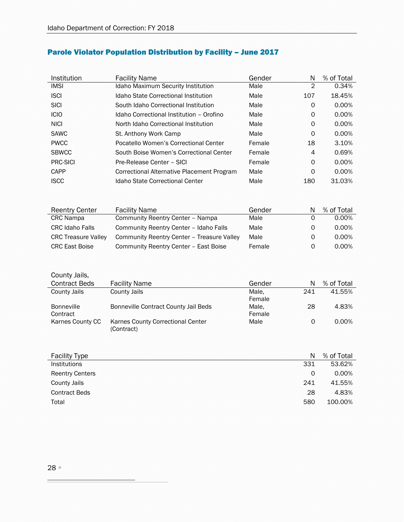| Institution  | <b>Facility Name</b>                       | Gender | N   | % of Total |
|--------------|--------------------------------------------|--------|-----|------------|
| <b>IMSI</b>  | Idaho Maximum Security Institution         | Male   | 2   | 0.34%      |
| <b>ISCI</b>  | Idaho State Correctional Institution       | Male   | 107 | 18.45%     |
| <b>SICI</b>  | South Idaho Correctional Institution       | Male   | 0   | $0.00\%$   |
| <b>ICIO</b>  | Idaho Correctional Institution - Orofino   | Male   | 0   | 0.00%      |
| <b>NICI</b>  | North Idaho Correctional Institution       | Male   | 0   | 0.00%      |
| <b>SAWC</b>  | St. Anthony Work Camp                      | Male   | 0   | $0.00\%$   |
| <b>PWCC</b>  | Pocatello Women's Correctional Center      | Female | 18  | 3.10%      |
| <b>SBWCC</b> | South Boise Women's Correctional Center    | Female | 4   | 0.69%      |
| PRC-SICI     | Pre-Release Center - SICI                  | Female | 0   | 0.00%      |
| CAPP         | Correctional Alternative Placement Program | Male   | 0   | 0.00%      |
| <b>ISCC</b>  | Idaho State Correctional Center            | Male   | 180 | 31.03%     |

# <span id="page-27-0"></span>Parole Violator Population Distribution by Facility – June 2017

| <b>Reentry Center</b>      | <b>Facility Name</b>                       | Gender |   | % of Total |
|----------------------------|--------------------------------------------|--------|---|------------|
| <b>CRC</b> Nampa           | Community Reentry Center - Nampa           | Male   | 0 | 0.00%      |
| <b>CRC Idaho Falls</b>     | Community Reentry Center - Idaho Falls     | Male   | 0 | 0.00%      |
| <b>CRC Treasure Valley</b> | Community Reentry Center - Treasure Valley | Male   | 0 | 0.00%      |
| <b>CRC East Boise</b>      | Community Reentry Center - East Boise      | Female | 0 | $0.00\%$   |

#### County Jails,

| <b>Contract Beds</b> | <b>Facility Name</b>                 | Gender | N   | % of Total |
|----------------------|--------------------------------------|--------|-----|------------|
| County Jails         | County Jails                         | Male.  | 241 | 41.55%     |
|                      |                                      | Female |     |            |
| <b>Bonneville</b>    | Bonneville Contract County Jail Beds | Male.  | 28  | 4.83%      |
| Contract             |                                      | Female |     |            |
| Karnes County CC     | Karnes County Correctional Center    | Male   | 0   | $0.00\%$   |
|                      | (Contract)                           |        |     |            |

| <b>Facility Type</b>   | N   | % of Total |
|------------------------|-----|------------|
| <b>Institutions</b>    | 331 | 53.62%     |
| <b>Reentry Centers</b> | 0   | 0.00%      |
| County Jails           | 241 | 41.55%     |
| <b>Contract Beds</b>   | 28  | 4.83%      |
| Total                  | 580 | 100.00%    |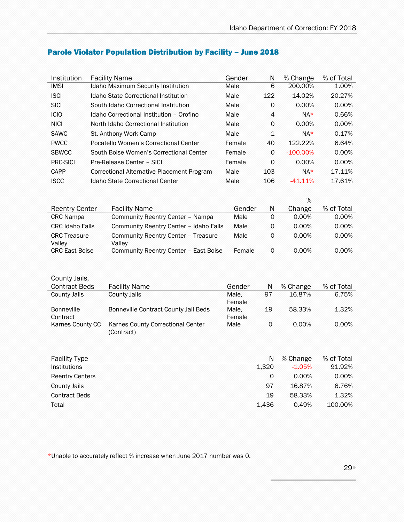| Institution                     | <b>Facility Name</b>                            | Gender          | N                   | % Change    | % of Total |
|---------------------------------|-------------------------------------------------|-----------------|---------------------|-------------|------------|
| <b>IMSI</b>                     | Idaho Maximum Security Institution              | Male            | 6                   | 200.00%     | 1.00%      |
| <b>ISCI</b>                     | Idaho State Correctional Institution            | Male            | 122                 | 14.02%      | 20.27%     |
| <b>SICI</b>                     | South Idaho Correctional Institution            | Male            | 0                   | 0.00%       | 0.00%      |
| <b>ICIO</b>                     | Idaho Correctional Institution - Orofino        | Male            | $\overline{4}$      | $NA*$       | 0.66%      |
| <b>NICI</b>                     | North Idaho Correctional Institution            | Male            | 0                   | $0.00\%$    | 0.00%      |
| <b>SAWC</b>                     | St. Anthony Work Camp                           | Male            | 1                   | $NA*$       | 0.17%      |
| <b>PWCC</b>                     | Pocatello Women's Correctional Center           | Female          | 40                  | 122.22%     | 6.64%      |
| <b>SBWCC</b>                    | South Boise Women's Correctional Center         | Female          | 0                   | $-100.00\%$ | 0.00%      |
| <b>PRC-SICI</b>                 | Pre-Release Center - SICI                       | Female          | 0                   | 0.00%       | 0.00%      |
| CAPP                            | Correctional Alternative Placement Program      | Male            | 103                 | $NA*$       | 17.11%     |
| <b>ISCC</b>                     | <b>Idaho State Correctional Center</b>          | Male            | 106                 | $-41.11%$   | 17.61%     |
|                                 |                                                 |                 |                     |             |            |
|                                 |                                                 |                 |                     | %           |            |
| <b>Reentry Center</b>           | <b>Facility Name</b>                            | Gender          | N                   | Change      | % of Total |
| <b>CRC Nampa</b>                | Community Reentry Center - Nampa                | Male            | $\mathbf 0$         | 0.00%       | 0.00%      |
| <b>CRC Idaho Falls</b>          | Community Reentry Center - Idaho Falls          | Male            | 0                   | 0.00%       | 0.00%      |
| <b>CRC Treasure</b>             | Community Reentry Center - Treasure             | Male            | 0                   | 0.00%       | 0.00%      |
| Valley<br><b>CRC East Boise</b> | Valley<br>Community Reentry Center - East Boise | Female          | 0                   | 0.00%       | 0.00%      |
|                                 |                                                 |                 |                     |             |            |
|                                 |                                                 |                 |                     |             |            |
| County Jails,                   |                                                 |                 |                     |             |            |
| <b>Contract Beds</b>            | <b>Facility Name</b>                            | Gender          | N                   | % Change    | % of Total |
| <b>County Jails</b>             | <b>County Jails</b>                             | Male,           | 97                  | 16.87%      | 6.75%      |
|                                 |                                                 | Female          |                     |             |            |
| <b>Bonneville</b><br>Contract   | Bonneville Contract County Jail Beds            | Male.<br>Female | 19                  | 58.33%      | 1.32%      |
| Karnes County CC                | Karnes County Correctional Center               | Male            | $\mathsf{O}\xspace$ | 0.00%       | 0.00%      |
|                                 | (Contract)                                      |                 |                     |             |            |
|                                 |                                                 |                 |                     |             |            |
|                                 |                                                 |                 |                     |             |            |
| <b>Facility Type</b>            |                                                 |                 | N                   | % Change    | % of Total |
| Institutions                    |                                                 |                 | 1,320               | $-1.05%$    | 91.92%     |
| <b>Reentry Centers</b>          |                                                 |                 | 0                   | 0.00%       | 0.00%      |
| <b>County Jails</b>             |                                                 |                 | 97                  | 16.87%      | 6.76%      |
| <b>Contract Beds</b>            |                                                 |                 | 19                  | 58.33%      | 1.32%      |
| Total                           |                                                 |                 | 1.436               | 0.49%       | 100.00%    |

# <span id="page-28-0"></span>Parole Violator Population Distribution by Facility – June 2018

\*Unable to accurately reflect % increase when June 2017 number was 0.

₩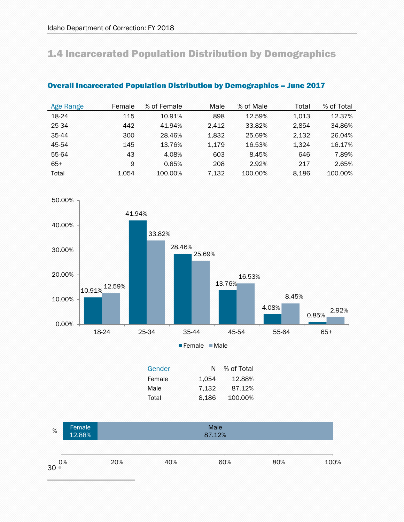# <span id="page-29-0"></span>1.4 Incarcerated Population Distribution by Demographics

| Age Range | Female | % of Female | Male  | % of Male | Total | % of Total |
|-----------|--------|-------------|-------|-----------|-------|------------|
| 18-24     | 115    | 10.91%      | 898   | 12.59%    | 1.013 | 12.37%     |
| 25-34     | 442    | 41.94%      | 2.412 | 33.82%    | 2.854 | 34.86%     |
| 35-44     | 300    | 28.46%      | 1.832 | 25.69%    | 2.132 | 26.04%     |
| 45-54     | 145    | 13.76%      | 1.179 | 16.53%    | 1.324 | 16.17%     |
| 55-64     | 43     | 4.08%       | 603   | 8.45%     | 646   | 7.89%      |
| $65+$     | 9      | 0.85%       | 208   | 2.92%     | 217   | 2.65%      |
| Total     | 1.054  | 100.00%     | 7.132 | 100.00%   | 8.186 | 100.00%    |

## <span id="page-29-1"></span>Overall Incarcerated Population Distribution by Demographics – June 2017



Female Male

Gender N % of Total

|                       |     | Female<br>Male | 1,054<br>7,132 | 12.88%<br>87.12% |     |      |
|-----------------------|-----|----------------|----------------|------------------|-----|------|
|                       |     | Total          | 8,186          | 100.00%          |     |      |
| Female<br>%<br>12.88% |     |                | Male<br>87.12% |                  |     |      |
| 0%<br>30              | 20% | 40%            |                | 60%              | 80% | 100% |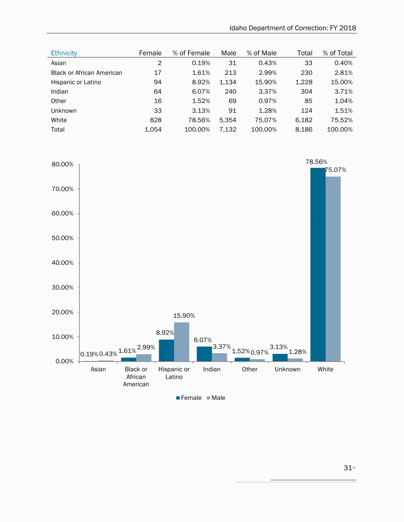| <b>Ethnicity</b>                 | Female         | % of Female | Male  | % of Male | Total | % of Total |
|----------------------------------|----------------|-------------|-------|-----------|-------|------------|
| Asian                            | $\overline{2}$ | 0.19%       | 31    | 0.43%     | 33    | 0.40%      |
| <b>Black or African American</b> | 17             | 1.61%       | 213   | 2.99%     | 230   | 2.81%      |
| Hispanic or Latino               | 94             | 8.92%       | 1,134 | 15.90%    | 1,228 | 15.00%     |
| Indian                           | 64             | 6.07%       | 240   | 3.37%     | 304   | 3.71%      |
| Other                            | 16             | 1.52%       | 69    | 0.97%     | 85    | 1.04%      |
| <b>Unknown</b>                   | 33             | 3.13%       | 91    | 1.28%     | 124   | 1.51%      |
| White                            | 828            | 78.56%      | 5.354 | 75.07%    | 6.182 | 75.52%     |
| Total                            | 1.054          | 100.00%     | 7,132 | 100.00%   | 8,186 | 100.00%    |



Female Male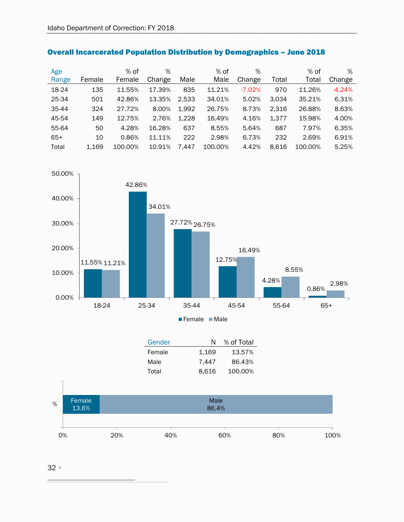| Age   |        | $%$ of  | %      |       | $%$ of  | %        |       | $%$ of  | %        |
|-------|--------|---------|--------|-------|---------|----------|-------|---------|----------|
| Range | Female | Female  | Change | Male  | Male    | Change   | Total | Total   | Change   |
| 18-24 | 135    | 11.55%  | 17.39% | 835   | 11.21%  | $-7.02%$ | 970   | 11.26%  | $-4.24%$ |
| 25-34 | 501    | 42.86%  | 13.35% | 2,533 | 34.01%  | 5.02%    | 3,034 | 35.21%  | 6.31%    |
| 35-44 | 324    | 27.72%  | 8.00%  | 1,992 | 26.75%  | 8.73%    | 2,316 | 26.88%  | 8.63%    |
| 45-54 | 149    | 12.75%  | 2.76%  | 1,228 | 16.49%  | 4.16%    | 1,377 | 15.98%  | 4.00%    |
| 55-64 | 50     | 4.28%   | 16.28% | 637   | 8.55%   | 5.64%    | 687   | 7.97%   | 6.35%    |
| $65+$ | 10     | 0.86%   | 11.11% | 222   | 2.98%   | 6.73%    | 232   | 2.69%   | 6.91%    |
| Total | 1.169  | 100.00% | 10.91% | 7.447 | 100.00% | 4.42%    | 8,616 | 100.00% | 5.25%    |

<span id="page-31-0"></span>



| Gender | N     | % of Total |
|--------|-------|------------|
| Female | 1.169 | 13.57%     |
| Male   | 7.447 | 86.43%     |
| Total  | 8.616 | 100.00%    |

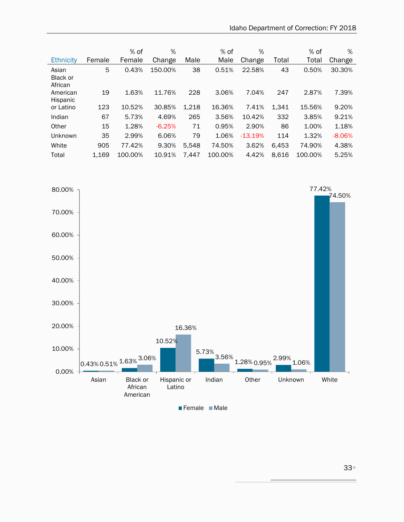| Ethnicity                    | Female | % of<br>Female | %<br>Change | Male  | % of<br>Male | %<br>Change | Total | $%$ of<br>Total | %<br>Change |
|------------------------------|--------|----------------|-------------|-------|--------------|-------------|-------|-----------------|-------------|
| Asian<br>Black or<br>African | 5      | 0.43%          | 150.00%     | 38    | 0.51%        | 22.58%      | 43    | 0.50%           | 30.30%      |
| American<br>Hispanic         | 19     | 1.63%          | 11.76%      | 228   | 3.06%        | 7.04%       | 247   | 2.87%           | 7.39%       |
| or Latino                    | 123    | 10.52%         | 30.85%      | 1.218 | 16.36%       | 7.41%       | 1,341 | 15.56%          | 9.20%       |
| Indian                       | 67     | 5.73%          | 4.69%       | 265   | 3.56%        | 10.42%      | 332   | 3.85%           | 9.21%       |
| Other                        | 15     | 1.28%          | $-6.25%$    | 71    | 0.95%        | 2.90%       | 86    | 1.00%           | 1.18%       |
| Unknown                      | 35     | 2.99%          | 6.06%       | 79    | 1.06%        | $-13.19%$   | 114   | 1.32%           | $-8.06%$    |
| White                        | 905    | 77.42%         | 9.30%       | 5.548 | 74.50%       | 3.62%       | 6,453 | 74.90%          | 4.38%       |
| Total                        | 1.169  | 100.00%        | 10.91%      | 7.447 | 100.00%      | 4.42%       | 8.616 | 100.00%         | 5.25%       |



Female Male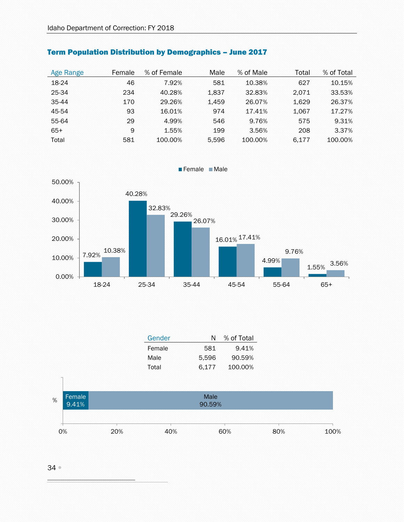| Age Range | Female | % of Female | Male  | % of Male | Total | % of Total |
|-----------|--------|-------------|-------|-----------|-------|------------|
| 18-24     | 46     | 7.92%       | 581   | 10.38%    | 627   | 10.15%     |
| 25-34     | 234    | 40.28%      | 1,837 | 32.83%    | 2.071 | 33.53%     |
| 35-44     | 170    | 29.26%      | 1.459 | 26.07%    | 1.629 | 26.37%     |
| 45-54     | 93     | 16.01%      | 974   | 17.41%    | 1.067 | 17.27%     |
| 55-64     | 29     | 4.99%       | 546   | 9.76%     | 575   | 9.31%      |
| $65+$     | 9      | 1.55%       | 199   | 3.56%     | 208   | 3.37%      |
| Total     | 581    | 100.00%     | 5.596 | 100.00%   | 6.177 | 100.00%    |

# <span id="page-33-0"></span>Term Population Distribution by Demographics – June 2017



Female Male

| Gender | N     | % of Total |
|--------|-------|------------|
| Female | 581   | 9.41%      |
| Male   | 5,596 | 90.59%     |
| Total  | 6.177 | 100.00%    |

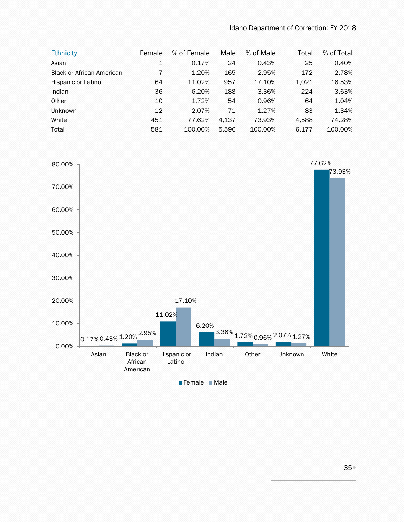| Female | % of Female | Male  | % of Male | Total | % of Total |
|--------|-------------|-------|-----------|-------|------------|
| 1      | 0.17%       | 24    | 0.43%     | 25    | 0.40%      |
| 7      | 1.20%       | 165   | 2.95%     | 172   | 2.78%      |
| 64     | 11.02%      | 957   | 17.10%    | 1,021 | 16.53%     |
| 36     | 6.20%       | 188   | 3.36%     | 224   | 3.63%      |
| 10     | 1.72%       | 54    | 0.96%     | 64    | 1.04%      |
| 12     | 2.07%       | 71    | 1.27%     | 83    | 1.34%      |
| 451    | 77.62%      | 4.137 | 73.93%    | 4,588 | 74.28%     |
| 581    | 100.00%     | 5.596 | 100.00%   | 6,177 | 100.00%    |
|        |             |       |           |       |            |

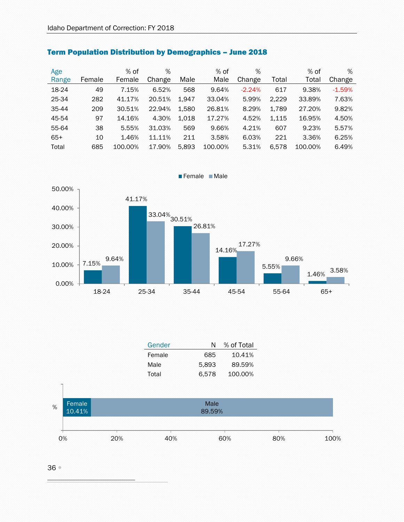| Age   |        | $%$ of  | %      |       | $%$ of  | %        |       | $%$ of  | %        |
|-------|--------|---------|--------|-------|---------|----------|-------|---------|----------|
| Range | Female | Female  | Change | Male  | Male    | Change   | Total | Total   | Change   |
| 18-24 | 49     | 7.15%   | 6.52%  | 568   | 9.64%   | $-2.24%$ | 617   | 9.38%   | $-1.59%$ |
| 25-34 | 282    | 41.17%  | 20.51% | 1.947 | 33.04%  | 5.99%    | 2,229 | 33.89%  | 7.63%    |
| 35-44 | 209    | 30.51%  | 22.94% | 1,580 | 26.81%  | 8.29%    | 1,789 | 27.20%  | 9.82%    |
| 45-54 | 97     | 14.16%  | 4.30%  | 1,018 | 17.27%  | 4.52%    | 1,115 | 16.95%  | 4.50%    |
| 55-64 | 38     | 5.55%   | 31.03% | 569   | 9.66%   | 4.21%    | 607   | 9.23%   | 5.57%    |
| $65+$ | 10     | 1.46%   | 11.11% | 211   | 3.58%   | 6.03%    | 221   | 3.36%   | 6.25%    |
| Total | 685    | 100.00% | 17.90% | 5.893 | 100.00% | 5.31%    | 6,578 | 100.00% | 6.49%    |

Female Male

# <span id="page-35-0"></span>Term Population Distribution by Demographics – June 2018



| Gender | N     | % of Total |
|--------|-------|------------|
| Female | 685   | 10.41%     |
| Male   | 5.893 | 89.59%     |
| Total  | 6.578 | 100.00%    |

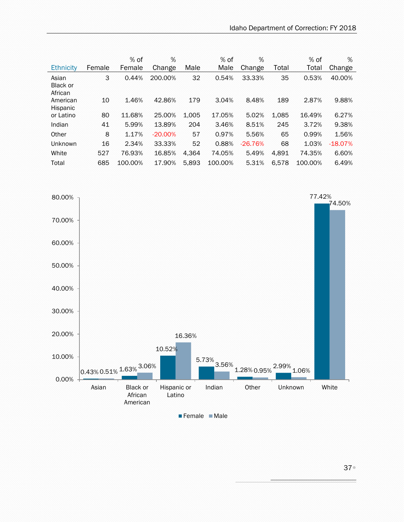|                                     |        | % of    | %         |       | % of    | %         |       | % of    | %         |
|-------------------------------------|--------|---------|-----------|-------|---------|-----------|-------|---------|-----------|
| <b>Ethnicity</b>                    | Female | Female  | Change    | Male  | Male    | Change    | Total | Total   | Change    |
| Asian<br><b>Black or</b><br>African | 3      | 0.44%   | 200.00%   | 32    | 0.54%   | 33.33%    | 35    | 0.53%   | 40.00%    |
| American<br>Hispanic                | 10     | 1.46%   | 42.86%    | 179   | 3.04%   | 8.48%     | 189   | 2.87%   | 9.88%     |
| or Latino                           | 80     | 11.68%  | 25.00%    | 1.005 | 17.05%  | 5.02%     | 1,085 | 16.49%  | 6.27%     |
| Indian                              | 41     | 5.99%   | 13.89%    | 204   | 3.46%   | 8.51%     | 245   | 3.72%   | 9.38%     |
| Other                               | 8      | 1.17%   | $-20.00%$ | 57    | 0.97%   | 5.56%     | 65    | 0.99%   | 1.56%     |
| <b>Unknown</b>                      | 16     | 2.34%   | 33.33%    | 52    | 0.88%   | $-26.76%$ | 68    | 1.03%   | $-18.07%$ |
| White                               | 527    | 76.93%  | 16.85%    | 4.364 | 74.05%  | 5.49%     | 4.891 | 74.35%  | 6.60%     |
| Total                               | 685    | 100.00% | 17.90%    | 5.893 | 100.00% | 5.31%     | 6.578 | 100.00% | 6.49%     |

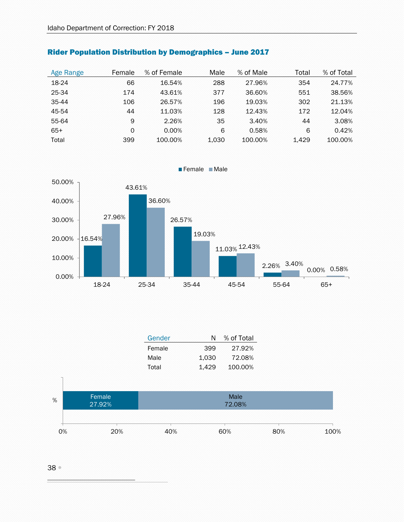| Age Range | Female | % of Female | Male  | % of Male | Total | % of Total |
|-----------|--------|-------------|-------|-----------|-------|------------|
| 18-24     | 66     | 16.54%      | 288   | 27.96%    | 354   | 24.77%     |
| 25-34     | 174    | 43.61%      | 377   | 36.60%    | 551   | 38.56%     |
| 35-44     | 106    | 26.57%      | 196   | 19.03%    | 302   | 21.13%     |
| 45-54     | 44     | 11.03%      | 128   | 12.43%    | 172   | 12.04%     |
| 55-64     | 9      | 2.26%       | 35    | 3.40%     | 44    | 3.08%      |
| $65+$     | 0      | $0.00\%$    | 6     | 0.58%     | 6     | 0.42%      |
| Total     | 399    | 100.00%     | 1,030 | 100.00%   | 1.429 | 100.00%    |

## Rider Population Distribution by Demographics – June 2017



| Gender | N     | % of Total |  |  |
|--------|-------|------------|--|--|
| Female | 399   | 27.92%     |  |  |
| Male   | 1.030 | 72.08%     |  |  |
| Total  | 1.429 | 100.00%    |  |  |

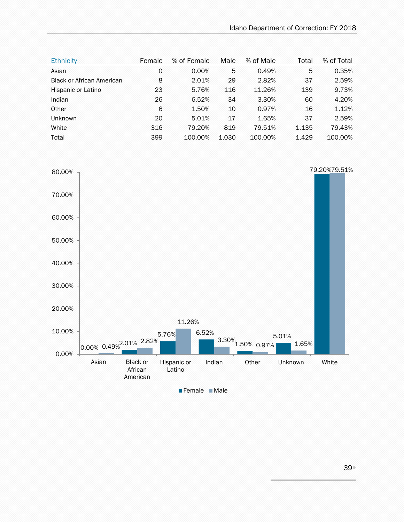| <b>Ethnicity</b>                 | Female | % of Female | Male  | % of Male | Total | % of Total |
|----------------------------------|--------|-------------|-------|-----------|-------|------------|
| Asian                            | 0      | 0.00%       | 5     | 0.49%     | 5     | 0.35%      |
| <b>Black or African American</b> | 8      | 2.01%       | 29    | 2.82%     | 37    | 2.59%      |
| Hispanic or Latino               | 23     | 5.76%       | 116   | 11.26%    | 139   | 9.73%      |
| Indian                           | 26     | 6.52%       | 34    | 3.30%     | 60    | 4.20%      |
| Other                            | 6      | 1.50%       | 10    | 0.97%     | 16    | 1.12%      |
| Unknown                          | 20     | 5.01%       | 17    | 1.65%     | 37    | 2.59%      |
| White                            | 316    | 79.20%      | 819   | 79.51%    | 1,135 | 79.43%     |
| Total                            | 399    | 100.00%     | 1,030 | 100.00%   | 1,429 | 100.00%    |

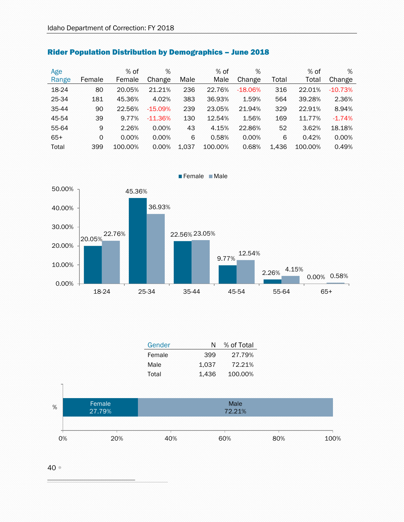| Age<br>Range | Female | $%$ of<br>Female | %<br>Change | Male  | $%$ of<br>Male | %<br>Change | Total | $%$ of<br>Total | %<br>Change |
|--------------|--------|------------------|-------------|-------|----------------|-------------|-------|-----------------|-------------|
| 18-24        | 80     | 20.05%           | 21.21%      | 236   | 22.76%         | $-18.06%$   | 316   | 22.01%          | $-10.73%$   |
| 25-34        | 181    | 45.36%           | 4.02%       | 383   | 36.93%         | 1.59%       | 564   | 39.28%          | 2.36%       |
| 35-44        | 90     | 22.56%           | $-15.09%$   | 239   | 23.05%         | 21.94%      | 329   | 22.91%          | 8.94%       |
| 45-54        | 39     | 9.77%            | $-11.36%$   | 130   | 12.54%         | 1.56%       | 169   | 11.77%          | $-1.74%$    |
| 55-64        | 9      | 2.26%            | 0.00%       | 43    | 4.15%          | 22.86%      | 52    | 3.62%           | 18.18%      |
| $65+$        | 0      | 0.00%            | 0.00%       | 6     | 0.58%          | 0.00%       | 6     | 0.42%           | 0.00%       |
| Total        | 399    | 100.00%          | 0.00%       | 1.037 | 100.00%        | 0.68%       | 1.436 | 100.00%         | 0.49%       |

#### Rider Population Distribution by Demographics – June 2018



| Gender | N     | % of Total |
|--------|-------|------------|
| Female | 399   | 27.79%     |
| Male   | 1.037 | 72.21%     |
| Total  | 1.436 | 100.00%    |



40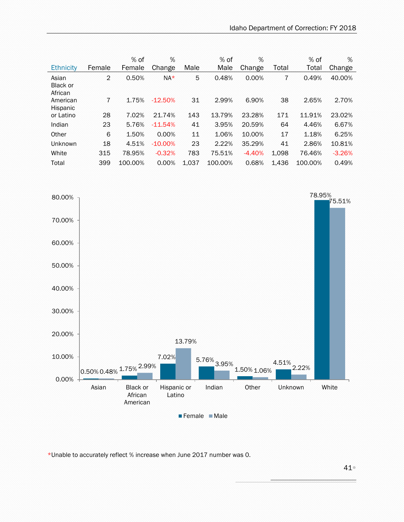|                              |                 | % of    | %          |       | % of    | %        |       | % of    | %        |
|------------------------------|-----------------|---------|------------|-------|---------|----------|-------|---------|----------|
| <b>Ethnicity</b>             | Female          | Female  | Change     | Male  | Male    | Change   | Total | Total   | Change   |
| Asian<br>Black or<br>African | $\overline{2}$  | 0.50%   | $NA*$      | 5     | 0.48%   | 0.00%    | 7     | 0.49%   | 40.00%   |
| American<br>Hispanic         | $7\phantom{.0}$ | 1.75%   | $-12.50%$  | 31    | 2.99%   | 6.90%    | 38    | 2.65%   | 2.70%    |
| or Latino                    | 28              | 7.02%   | 21.74%     | 143   | 13.79%  | 23.28%   | 171   | 11.91%  | 23.02%   |
| Indian                       | 23              | 5.76%   | $-11.54%$  | 41    | 3.95%   | 20.59%   | 64    | 4.46%   | 6.67%    |
| Other                        | 6               | 1.50%   | 0.00%      | 11    | 1.06%   | 10.00%   | 17    | 1.18%   | 6.25%    |
| <b>Unknown</b>               | 18              | 4.51%   | $-10.00\%$ | 23    | 2.22%   | 35.29%   | 41    | 2.86%   | 10.81%   |
| White                        | 315             | 78.95%  | $-0.32%$   | 783   | 75.51%  | $-4.40%$ | 1,098 | 76.46%  | $-3.26%$ |
| Total                        | 399             | 100.00% | 0.00%      | 1.037 | 100.00% | 0.68%    | 1.436 | 100.00% | 0.49%    |



\*Unable to accurately reflect % increase when June 2017 number was 0.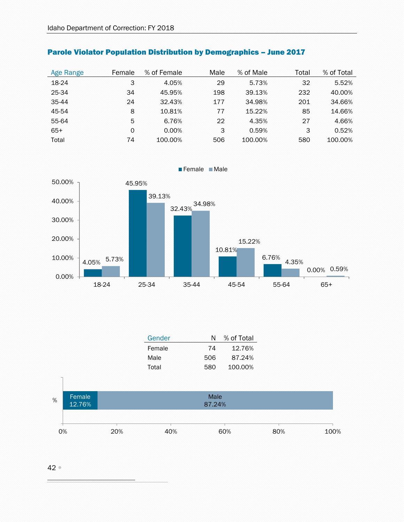| Age Range | Female | % of Female | Male | % of Male | Total | % of Total |
|-----------|--------|-------------|------|-----------|-------|------------|
| 18-24     | 3      | 4.05%       | 29   | 5.73%     | 32    | 5.52%      |
| 25-34     | 34     | 45.95%      | 198  | 39.13%    | 232   | 40.00%     |
| 35-44     | 24     | 32.43%      | 177  | 34.98%    | 201   | 34.66%     |
| 45-54     | 8      | 10.81%      | 77   | 15.22%    | 85    | 14.66%     |
| 55-64     | 5      | 6.76%       | 22   | 4.35%     | 27    | 4.66%      |
| $65+$     | 0      | 0.00%       | 3    | 0.59%     | 3     | 0.52%      |
| Total     | 74     | 100.00%     | 506  | 100.00%   | 580   | 100.00%    |

#### Parole Violator Population Distribution by Demographics – June 2017



Female Male

| Gender | N   | % of Total |
|--------|-----|------------|
| Female | 74  | 12.76%     |
| Male   | 506 | 87.24%     |
| Total  | 580 | 100.00%    |
|        |     |            |
|        |     |            |



#### $42^{\circ}$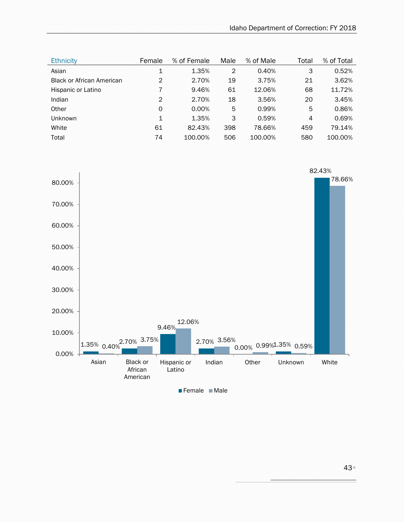| <b>Ethnicity</b>                 | Female         | % of Female | Male           | % of Male | Total | % of Total |
|----------------------------------|----------------|-------------|----------------|-----------|-------|------------|
| Asian                            | 1              | 1.35%       | $\overline{2}$ | 0.40%     | 3     | 0.52%      |
| <b>Black or African American</b> | $\mathfrak{D}$ | 2.70%       | 19             | 3.75%     | 21    | 3.62%      |
| Hispanic or Latino               | 7              | 9.46%       | 61             | 12.06%    | 68    | 11.72%     |
| Indian                           | 2              | 2.70%       | 18             | 3.56%     | 20    | 3.45%      |
| Other                            | 0              | 0.00%       | 5              | 0.99%     | 5     | 0.86%      |
| Unknown                          | 1              | 1.35%       | 3              | 0.59%     | 4     | 0.69%      |
| White                            | 61             | 82.43%      | 398            | 78.66%    | 459   | 79.14%     |
| Total                            | 74             | 100.00%     | 506            | 100.00%   | 580   | 100.00%    |

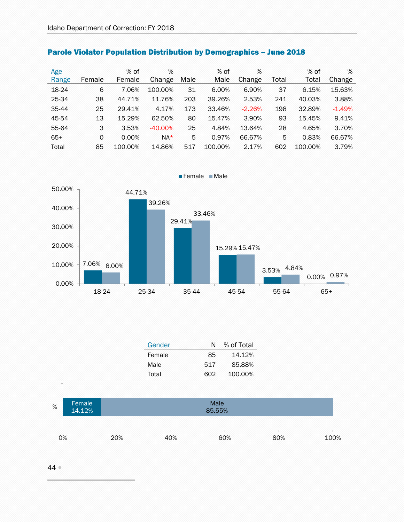| Age   |          | $%$ of  | %         |      | $%$ of  | %        |       | $%$ of  | %        |
|-------|----------|---------|-----------|------|---------|----------|-------|---------|----------|
| Range | Female   | Female  | Change    | Male | Male    | Change   | Total | Total   | Change   |
| 18-24 | 6        | 7.06%   | 100.00%   | 31   | 6.00%   | 6.90%    | 37    | 6.15%   | 15.63%   |
| 25-34 | 38       | 44.71%  | 11.76%    | 203  | 39.26%  | 2.53%    | 241   | 40.03%  | 3.88%    |
| 35-44 | 25       | 29.41%  | 4.17%     | 173  | 33.46%  | $-2.26%$ | 198   | 32.89%  | $-1.49%$ |
| 45-54 | 13       | 15.29%  | 62.50%    | 80   | 15.47%  | 3.90%    | 93    | 15.45%  | 9.41%    |
| 55-64 | 3        | 3.53%   | $-40.00%$ | 25   | 4.84%   | 13.64%   | 28    | 4.65%   | 3.70%    |
| $65+$ | $\Omega$ | 0.00%   | $NA*$     | 5    | 0.97%   | 66.67%   | 5     | 0.83%   | 66.67%   |
| Total | 85       | 100.00% | 14.86%    | 517  | 100.00% | 2.17%    | 602   | 100.00% | 3.79%    |

## Parole Violator Population Distribution by Demographics – June 2018



| Gender | N   | % of Total |
|--------|-----|------------|
| Female | 85  | 14.12%     |
| Male   | 517 | 85.88%     |
| Total  | 602 | 100.00%    |



44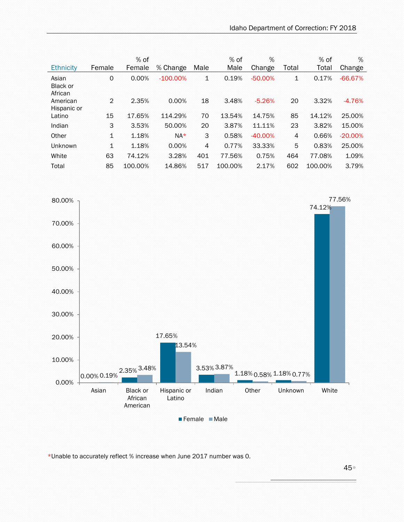| Ethnicity                    | Female         | $%$ of<br>Female | % Change    | Male         | $%$ of<br>Male | %<br>Change | Total          | $%$ of<br>Total | %<br>Change |
|------------------------------|----------------|------------------|-------------|--------------|----------------|-------------|----------------|-----------------|-------------|
| Asian<br>Black or<br>African | 0              | 0.00%            | $-100.00\%$ | $\mathbf{1}$ | 0.19%          | $-50.00%$   | 1              | 0.17%           | $-66.67%$   |
| American<br>Hispanic or      | $\overline{2}$ | 2.35%            | 0.00%       | 18           | 3.48%          | $-5.26%$    | 20             | 3.32%           | $-4.76%$    |
| Latino                       | 15             | 17.65%           | 114.29%     | 70           | 13.54%         | 14.75%      | 85             | 14.12%          | 25.00%      |
| Indian                       | 3              | 3.53%            | 50.00%      | 20           | 3.87%          | 11.11%      | 23             | 3.82%           | 15.00%      |
| Other                        | 1              | 1.18%            | $NA*$       | 3            | 0.58%          | $-40.00%$   | $\overline{4}$ | 0.66%           | $-20.00\%$  |
| <b>Unknown</b>               | $\mathbf 1$    | 1.18%            | 0.00%       | 4            | 0.77%          | 33.33%      | 5              | 0.83%           | 25.00%      |
| White                        | 63             | 74.12%           | 3.28%       | 401          | 77.56%         | 0.75%       | 464            | 77.08%          | 1.09%       |
| Total                        | 85             | 100.00%          | 14.86%      | 517          | 100.00%        | 2.17%       | 602            | 100.00%         | 3.79%       |



\*Unable to accurately reflect % increase when June 2017 number was 0.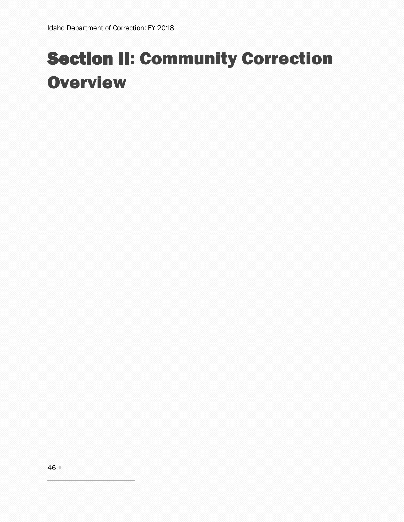# Section II: Community Correction **Overview**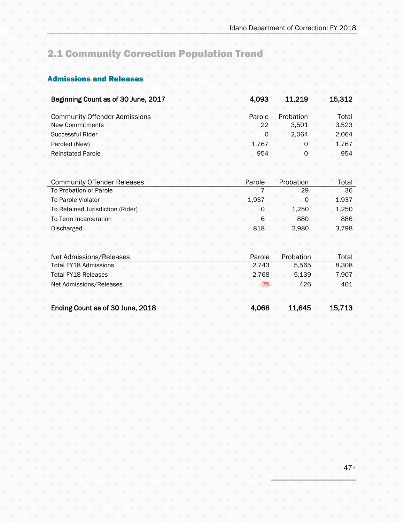# 2.1 Community Correction Population Trend

### Admissions and Releases

<span id="page-46-0"></span>

| Beginning Count as of 30 June, 2017  | 4,093  | 11,219    | 15,312 |
|--------------------------------------|--------|-----------|--------|
| <b>Community Offender Admissions</b> | Parole | Probation | Total  |
| <b>New Commitments</b>               | 22     | 3,501     | 3,523  |
| Successful Rider                     | 0      | 2,064     | 2,064  |
| Paroled (New)                        | 1,767  | 0         | 1,767  |
| <b>Reinstated Parole</b>             | 954    | 0         | 954    |
|                                      |        |           |        |
|                                      |        |           |        |
| <b>Community Offender Releases</b>   | Parole | Probation | Total  |
| To Probation or Parole               | 7      | 29        | 36     |
| To Parole Violator                   | 1,937  | 0         | 1,937  |
| To Retained Jurisdiction (Rider)     | 0      | 1,250     | 1,250  |
| To Term Incarceration                | 6      | 880       | 886    |
| <b>Discharged</b>                    | 818    | 2,980     | 3,798  |
|                                      |        |           |        |
|                                      |        |           |        |
| Net Admissions/Releases              | Parole | Probation | Total  |
| Total FY18 Admissions                | 2,743  | 5,565     | 8,308  |
| <b>Total FY18 Releases</b>           | 2,768  | 5.139     | 7,907  |
| Net Admissions/Releases              | $-25$  | 426       | 401    |
|                                      |        |           |        |
| Ending Count as of 30 June, 2018     | 4,068  | 11,645    | 15,713 |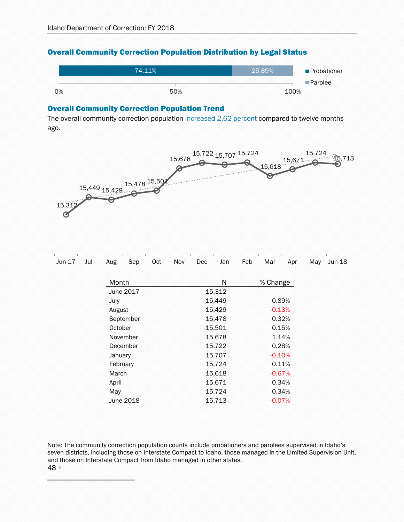#### Overall Community Correction Population Distribution by Legal Status [2](#page-47-0)



#### Overall Community Correction Population Trend

The overall community correction population increased 2.62 percent compared to twelve months ago.



<span id="page-47-0"></span>

| Jun-17 | Jul | Aug      | Sep       | Oct | Nov | Dec | Jan    | Feb | Mar      | Apr   | May | $Jun-18$ |
|--------|-----|----------|-----------|-----|-----|-----|--------|-----|----------|-------|-----|----------|
|        |     | Month    |           |     |     |     | N      |     | % Change |       |     |          |
|        |     |          | June 2017 |     |     |     | 15,312 |     |          |       |     |          |
|        |     | July     |           |     |     |     | 15,449 |     |          | 0.89% |     |          |
|        |     | August   |           |     |     |     | 15,429 |     | $-0.13%$ |       |     |          |
|        |     |          | September |     |     |     | 15,478 |     |          | 0.32% |     |          |
|        |     | October  |           |     |     |     | 15,501 |     |          | 0.15% |     |          |
|        |     |          | November  |     |     |     | 15,678 |     |          | 1.14% |     |          |
|        |     |          | December  |     |     |     | 15,722 |     |          | 0.28% |     |          |
|        |     | January  |           |     |     |     | 15,707 |     | $-0.10%$ |       |     |          |
|        |     | February |           |     |     |     | 15,724 |     |          | 0.11% |     |          |
|        |     | March    |           |     |     |     | 15,618 |     | $-0.67%$ |       |     |          |
|        |     | April    |           |     |     |     | 15,671 |     |          | 0.34% |     |          |
|        |     | May      |           |     |     |     | 15,724 |     |          | 0.34% |     |          |
|        |     |          | June 2018 |     |     |     | 15,713 |     | $-0.07%$ |       |     |          |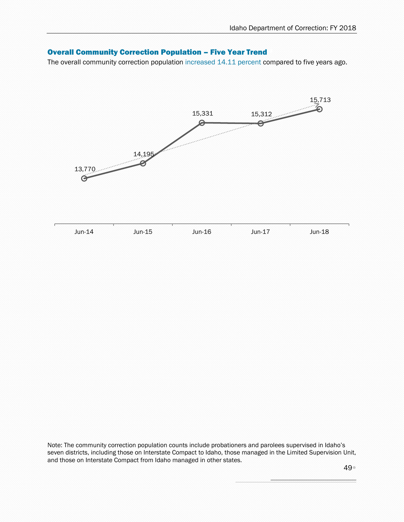#### Overall Community Correction Population – Five Year Trend [3](#page-48-0)

The overall community correction population increased 14.11 percent compared to five years ago.

<span id="page-48-0"></span>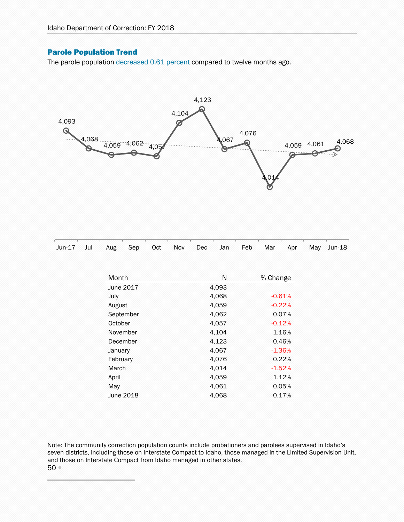#### Parole Population Trend

The parole population decreased 0.61 percent compared to twelve months ago.



<span id="page-49-1"></span><span id="page-49-0"></span>

| Jun-17 | Jul | Aug      | Sep       | Oct | Nov | Dec | Jan   | Feb | Mar      | Apr      | May | $Jun-18$ |
|--------|-----|----------|-----------|-----|-----|-----|-------|-----|----------|----------|-----|----------|
|        |     |          |           |     |     |     |       |     |          |          |     |          |
|        |     |          |           |     |     |     |       |     |          |          |     |          |
|        |     | Month    |           |     |     |     | N     |     | % Change |          |     |          |
|        |     |          | June 2017 |     |     |     | 4,093 |     |          |          |     |          |
|        |     | July     |           |     |     |     | 4,068 |     |          | $-0.61%$ |     |          |
|        |     | August   |           |     |     |     | 4,059 |     |          | $-0.22%$ |     |          |
|        |     |          | September |     |     |     | 4,062 |     |          | 0.07%    |     |          |
|        |     | October  |           |     |     |     | 4,057 |     |          | $-0.12%$ |     |          |
|        |     |          | November  |     |     |     | 4,104 |     |          | 1.16%    |     |          |
|        |     |          | December  |     |     |     | 4,123 |     |          | 0.46%    |     |          |
|        |     | January  |           |     |     |     | 4,067 |     |          | $-1.36%$ |     |          |
|        |     | February |           |     |     |     | 4,076 |     |          | 0.22%    |     |          |
|        |     | March    |           |     |     |     | 4,014 |     |          | $-1.52%$ |     |          |
|        |     | April    |           |     |     |     | 4,059 |     |          | 1.12%    |     |          |
|        |     | May      |           |     |     |     | 4,061 |     |          | 0.05%    |     |          |
|        |     |          | June 2018 |     |     |     | 4,068 |     |          | 0.17%    |     |          |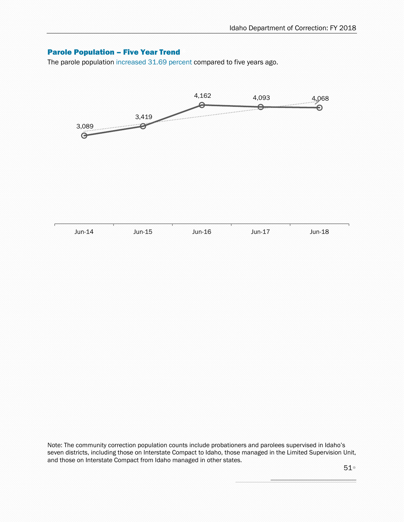#### Parole Population – Five Year Trend [6](#page-50-0)

The parole population increased 31.69 percent compared to five years ago.

<span id="page-50-0"></span>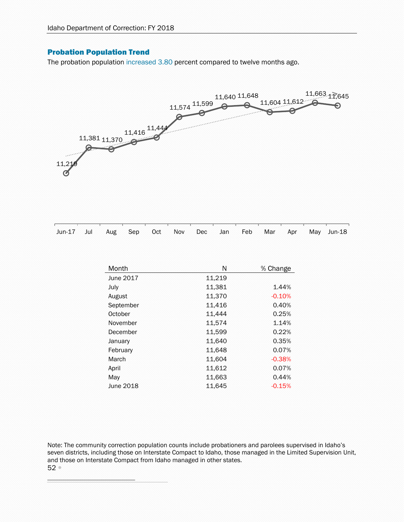#### Probation Population Trend

The probation population increased 3.80 percent compared to twelve months ago.



| i waxaa kaanaa kaanaa kaanaa kaanaa kaanaa kaanaa kaanaa kaanaa kaanaa kaanaa kaanaa kaanaa kaanaa kaanaa kaan |  |  |  |  |  |  |
|----------------------------------------------------------------------------------------------------------------|--|--|--|--|--|--|
| Jun-17 Jul Aug Sep Oct Nov Dec Jan Feb Mar Apr May Jun-18                                                      |  |  |  |  |  |  |

<span id="page-51-0"></span>

| Month     | N      | % Change |
|-----------|--------|----------|
| June 2017 | 11,219 |          |
| July      | 11,381 | 1.44%    |
| August    | 11,370 | $-0.10%$ |
| September | 11,416 | 0.40%    |
| October   | 11,444 | 0.25%    |
| November  | 11,574 | 1.14%    |
| December  | 11,599 | 0.22%    |
| January   | 11,640 | 0.35%    |
| February  | 11,648 | 0.07%    |
| March     | 11,604 | $-0.38%$ |
| April     | 11,612 | 0.07%    |
| May       | 11,663 | 0.44%    |
| June 2018 | 11.645 | $-0.15%$ |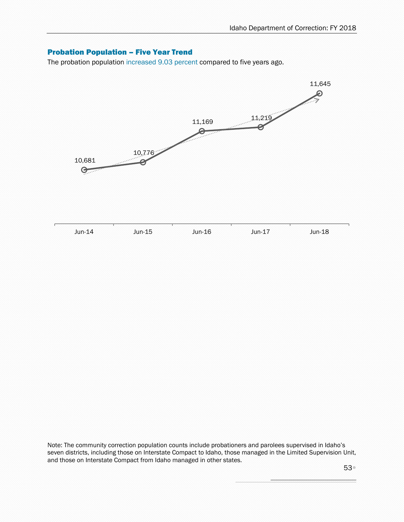#### Probation Population – Five Year Trend [8](#page-52-0)

The probation population increased 9.03 percent compared to five years ago.

<span id="page-52-0"></span>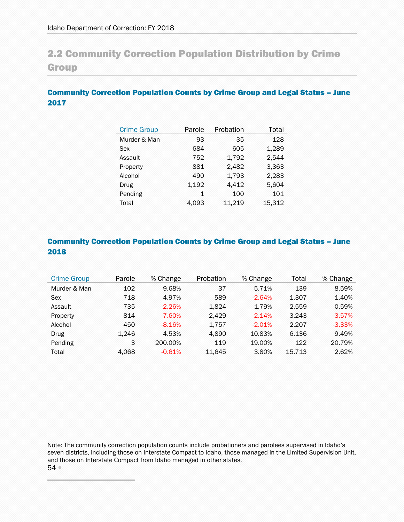## 2.2 Community Correction Population Distribution by Crime Group

#### Community Correction Population Counts by Crime Group and Legal Status – June 2017

| <b>Crime Group</b> | Parole | Probation | Total  |
|--------------------|--------|-----------|--------|
| Murder & Man       | 93     | 35        | 128    |
| Sex                | 684    | 605       | 1,289  |
| Assault            | 752    | 1,792     | 2,544  |
| Property           | 881    | 2,482     | 3,363  |
| Alcohol            | 490    | 1,793     | 2,283  |
| Drug               | 1,192  | 4,412     | 5,604  |
| Pending            | 1      | 100       | 101    |
| Total              | 4.093  | 11,219    | 15,312 |

#### Community Correction Population Counts by Crime Group and Legal Status – June 2018

<span id="page-53-0"></span>

| <b>Crime Group</b> | Parole | % Change  | Probation | % Change | Total  | % Change  |
|--------------------|--------|-----------|-----------|----------|--------|-----------|
| Murder & Man       | 102    | 9.68%     | 37        | 5.71%    | 139    | 8.59%     |
| <b>Sex</b>         | 718    | 4.97%     | 589       | $-2.64%$ | 1,307  | 1.40%     |
| Assault            | 735    | $-2.26%$  | 1.824     | 1.79%    | 2.559  | 0.59%     |
| Property           | 814    | $-7.60\%$ | 2.429     | $-2.14%$ | 3.243  | $-3.57%$  |
| Alcohol            | 450    | $-8.16%$  | 1.757     | $-2.01%$ | 2,207  | $-3.33\%$ |
| Drug               | 1.246  | 4.53%     | 4.890     | 10.83%   | 6.136  | 9.49%     |
| Pending            | 3      | 200.00%   | 119       | 19.00%   | 122    | 20.79%    |
| Total              | 4.068  | $-0.61%$  | 11.645    | 3.80%    | 15,713 | 2.62%     |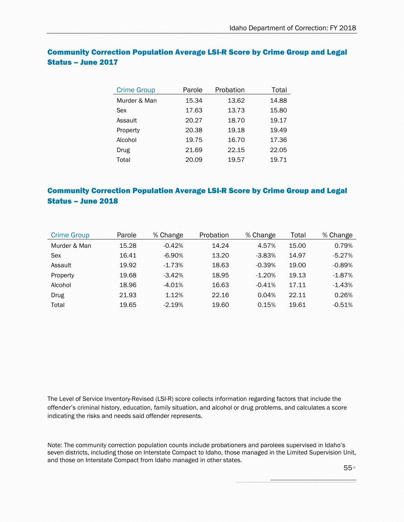| <b>Crime Group</b> | Parole | Probation | Total |
|--------------------|--------|-----------|-------|
| Murder & Man       | 15.34  | 13.62     | 14.88 |
| Sex                | 17.63  | 13.73     | 15.80 |
| Assault            | 20.27  | 18.70     | 19.17 |
| Property           | 20.38  | 19.18     | 19.49 |
| Alcohol            | 19.75  | 16.70     | 17.36 |
| Drug               | 21.69  | 22.15     | 22.05 |
| Total              | 20.09  | 19.57     | 19.71 |

#### Community Correction Population Average LSI-R Score by Crime Group and Legal Status – June 2017

#### Community Correction Population Average LSI-R Score by Crime Group and Legal Status – June 2018

| <b>Crime Group</b> | Parole | % Change  | Probation | % Change | Total | % Change |
|--------------------|--------|-----------|-----------|----------|-------|----------|
| Murder & Man       | 15.28  | $-0.42%$  | 14.24     | 4.57%    | 15.00 | 0.79%    |
| Sex                | 16.41  | $-6.90\%$ | 13.20     | $-3.83%$ | 14.97 | $-5.27%$ |
| Assault            | 19.92  | $-1.73%$  | 18.63     | $-0.39%$ | 19.00 | $-0.89%$ |
| Property           | 19.68  | $-3.42%$  | 18.95     | $-1.20%$ | 19.13 | $-1.87%$ |
| Alcohol            | 18.96  | $-4.01%$  | 16.63     | $-0.41%$ | 17.11 | $-1.43%$ |
| Drug               | 21.93  | 1.12%     | 22.16     | 0.04%    | 22.11 | 0.26%    |
| Total              | 19.65  | $-2.19%$  | 19.60     | 0.15%    | 19.61 | $-0.51%$ |

<span id="page-54-0"></span>The Level of Service Inventory-Revised (LSI-R) score collects information regarding factors that include the offender's criminal history, education, family situation, and alcohol or drug problems, and calculates a score indicating the risks and needs said offender represents.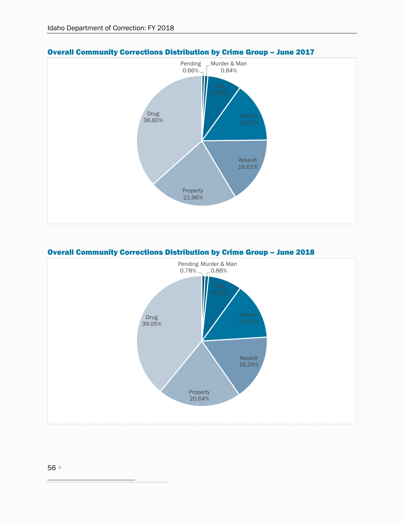

#### Overall Community Corrections Distribution by Crime Group – June 2017



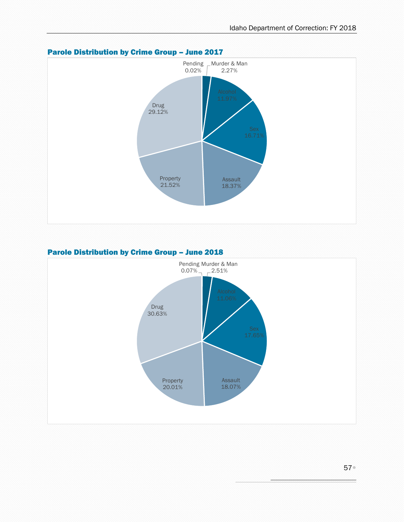

#### Parole Distribution by Crime Group – June 2017

#### Parole Distribution by Crime Group – June 2018

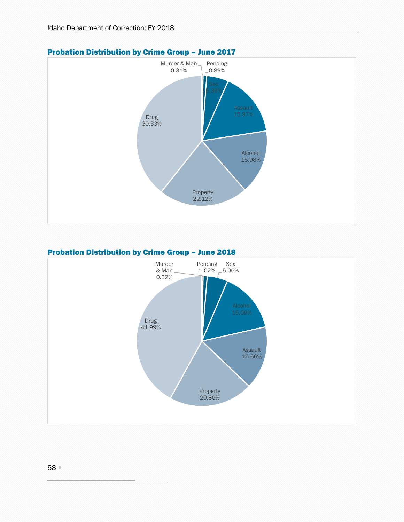

#### Probation Distribution by Crime Group – June 2017

#### Probation Distribution by Crime Group – June 2018

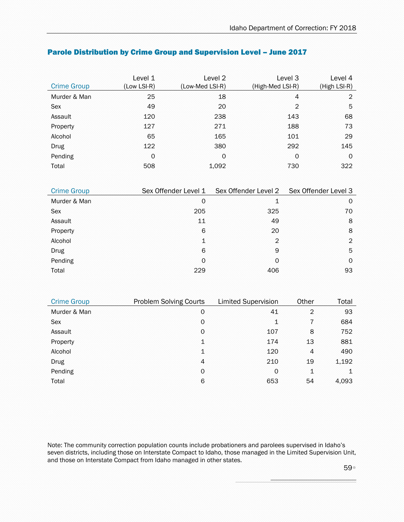| <b>Crime Group</b> | Level 1<br>(Low LSI-R) | Level 2<br>(Low-Med LSI-R) | Level 3<br>(High-Med LSI-R) | Level 4<br>(High LSI-R) |
|--------------------|------------------------|----------------------------|-----------------------------|-------------------------|
| Murder & Man       | 25                     | 18                         | $\overline{4}$              | 2                       |
| Sex                | 49                     | 20                         | $\overline{2}$              | 5                       |
| Assault            | 120                    | 238                        | 143                         | 68                      |
| Property           | 127                    | 271                        | 188                         | 73                      |
| Alcohol            | 65                     | 165                        | 101                         | 29                      |
| <b>Drug</b>        | 122                    | 380                        | 292                         | 145                     |
| Pending            | 0                      | 0                          | 0                           | $\Omega$                |
| Total              | 508                    | 1,092                      | 730                         | 322                     |

#### Parole Distribution by Crime Group and Supervision Level – June 2017

| <b>Crime Group</b> | Sex Offender Level 1 | Sex Offender Level 2 | Sex Offender Level 3 |
|--------------------|----------------------|----------------------|----------------------|
| Murder & Man       | 0                    | 1                    | 0                    |
| Sex                | 205                  | 325                  | 70                   |
| Assault            | 11                   | 49                   | 8                    |
| Property           | 6                    | 20                   | 8                    |
| Alcohol            | $\mathbf 1$          | $\overline{2}$       | 2                    |
| <b>Drug</b>        | 6                    | 9                    | 5                    |
| Pending            | 0                    | 0                    | 0                    |
| Total              | 229                  | 406                  | 93                   |

<span id="page-58-0"></span>

| <b>Crime Group</b> | Problem Solving Courts | <b>Limited Supervision</b> | Other          | Total |
|--------------------|------------------------|----------------------------|----------------|-------|
| Murder & Man       | 0                      | 41                         | $\overline{2}$ | 93    |
| Sex                | 0                      | $\mathbf 1$                | 7              | 684   |
| Assault            | 0                      | 107                        | 8              | 752   |
| Property           | 1                      | 174                        | 13             | 881   |
| Alcohol            | 1                      | 120                        | $\overline{4}$ | 490   |
| <b>Drug</b>        | 4                      | 210                        | 19             | 1,192 |
| Pending            | 0                      | $\Omega$                   | $\mathbf{1}$   | 1     |
| Total              | 6                      | 653                        | 54             | 4,093 |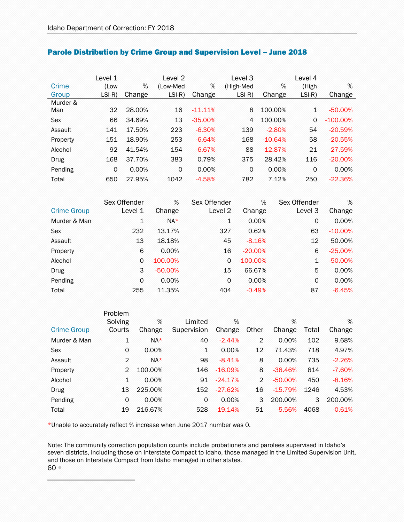|            | Level 1  |          | Level 2  |            | Level 3   |           | Level 4      |             |
|------------|----------|----------|----------|------------|-----------|-----------|--------------|-------------|
| Crime      | (Low     | %        | (Low-Med | %          | (High-Med | %         | (High        | %           |
| Group      | $LSI-R)$ | Change   | $LSI-R)$ | Change     | $LSI-R)$  | Change    | $LSI-R)$     | Change      |
| Murder &   |          |          |          |            |           |           |              |             |
| Man        | 32       | 28.00%   | 16       | $-11.11\%$ | 8         | 100.00%   | $\mathbf{1}$ | $-50.00%$   |
| <b>Sex</b> | 66       | 34.69%   | 13       | $-35.00%$  | 4         | 100.00%   | 0            | $-100.00\%$ |
| Assault    | 141      | 17.50%   | 223      | $-6.30%$   | 139       | $-2.80%$  | 54           | $-20.59%$   |
| Property   | 151      | 18.90%   | 253      | $-6.64%$   | 168       | $-10.64%$ | 58           | $-20.55%$   |
| Alcohol    | 92       | 41.54%   | 154      | $-6.67%$   | 88        | $-12.87%$ | 21           | $-27.59%$   |
| Drug       | 168      | 37.70%   | 383      | 0.79%      | 375       | 28.42%    | 116          | $-20.00%$   |
| Pending    | $\Omega$ | $0.00\%$ | $\circ$  | 0.00%      | $\Omega$  | 0.00%     | $\circ$      | 0.00%       |
| Total      | 650      | 27.95%   | 1042     | $-4.58%$   | 782       | 7.12%     | 250          | $-22.36%$   |

#### Parole Distribution by Crime Group and Supervision Level - June 2018

|                    | Sex Offender | %           | Sex Offender | %           | Sex Offender | %          |
|--------------------|--------------|-------------|--------------|-------------|--------------|------------|
| <b>Crime Group</b> | Level 1      | Change      | Level 2      | Change      | Level 3      | Change     |
| Murder & Man       | 1            | $NA*$       | 1            | 0.00%       | 0            | 0.00%      |
| Sex                | 232          | 13.17%      | 327          | 0.62%       | 63           | $-10.00\%$ |
| Assault            | 13           | 18.18%      | 45           | $-8.16%$    | 12           | 50.00%     |
| Property           | 6            | $0.00\%$    | 16           | $-20.00\%$  | 6            | $-25.00%$  |
| Alcohol            | 0            | $-100.00\%$ | 0            | $-100.00\%$ | $\mathbf{1}$ | $-50.00\%$ |
| Drug               | 3            | $-50.00%$   | 15           | 66.67%      | 5            | 0.00%      |
| Pending            | $\Omega$     | $0.00\%$    | $\Omega$     | 0.00%       | 0            | 0.00%      |
| Total              | 255          | 11.35%      | 404          | $-0.49%$    | 87           | $-6.45%$   |

|                    | Problem        |         |             |           |                |           |       |          |
|--------------------|----------------|---------|-------------|-----------|----------------|-----------|-------|----------|
|                    | Solving        | %       | Limited     | %         |                | %         |       | %        |
| <b>Crime Group</b> | Courts         | Change  | Supervision | Change    | Other          | Change    | Total | Change   |
| Murder & Man       | 1              | $NA*$   | 40          | $-2.44%$  | 2              | 0.00%     | 102   | 9.68%    |
| Sex                | $\Omega$       | 0.00%   | 1           | 0.00%     | 12             | 71.43%    | 718   | 4.97%    |
| Assault            | $\overline{2}$ | $NA*$   | 98          | $-8.41%$  | 8              | 0.00%     | 735   | $-2.26%$ |
| Property           | 2              | 100.00% | 146         | $-16.09%$ | 8              | $-38.46%$ | 814   | $-7.60%$ |
| Alcohol            | 1              | 0.00%   | 91          | $-24.17%$ | $\mathfrak{D}$ | $-50.00%$ | 450   | $-8.16%$ |
| Drug               | 13             | 225.00% | 152         | $-27.62%$ | 16             | $-15.79%$ | 1246  | 4.53%    |
| Pending            | 0              | 0.00%   | 0           | 0.00%     | 3              | 200.00%   | 3     | 200.00%  |
| Total              | 19             | 216.67% | 528         | $-19.14%$ | 51             | $-5.56%$  | 4068  | $-0.61%$ |

<span id="page-59-0"></span>\*Unable to accurately reflect % increase when June 2017 number was 0.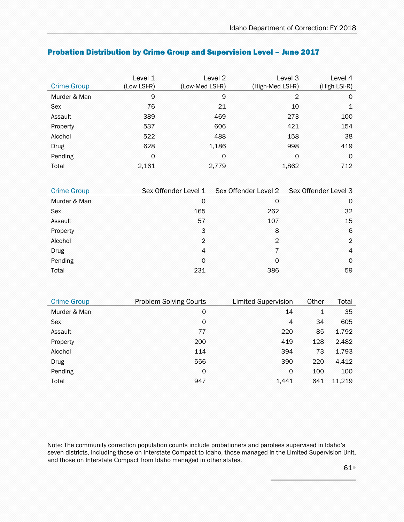| <b>Crime Group</b> | Level 1<br>(Low LSI-R) | Level 2<br>(Low-Med LSI-R) | Level 3<br>(High-Med LSI-R) | Level 4<br>(High LSI-R) |
|--------------------|------------------------|----------------------------|-----------------------------|-------------------------|
| Murder & Man       | 9                      | 9                          | 2                           | 0                       |
| Sex                | 76                     | 21                         | 10                          | 1                       |
| Assault            | 389                    | 469                        | 273                         | 100                     |
| Property           | 537                    | 606                        | 421                         | 154                     |
| Alcohol            | 522                    | 488                        | 158                         | 38                      |
| <b>Drug</b>        | 628                    | 1,186                      | 998                         | 419                     |
| Pending            | 0                      | $\circ$                    | 0                           | $\Omega$                |
| Total              | 2,161                  | 2.779                      | 1,862                       | 712                     |

#### Probation Distribution by Crime Group and Supervision Level – June 2017

| <b>Crime Group</b> | Sex Offender Level 1 | Sex Offender Level 2 | Sex Offender Level 3 |
|--------------------|----------------------|----------------------|----------------------|
| Murder & Man       | 0                    | 0                    | 0                    |
| Sex                | 165                  | 262                  | 32                   |
| Assault            | 57                   | 107                  | 15                   |
| Property           | 3                    | 8                    | 6                    |
| Alcohol            | $\overline{2}$       | $\overline{2}$       | 2                    |
| <b>Drug</b>        | $\overline{4}$       | 7                    | 4                    |
| Pending            | 0                    | 0                    | 0                    |
| Total              | 231                  | 386                  | 59                   |

<span id="page-60-0"></span>

| <b>Crime Group</b> | <b>Problem Solving Courts</b> | <b>Limited Supervision</b> | Other | Total  |
|--------------------|-------------------------------|----------------------------|-------|--------|
| Murder & Man       | $\circ$                       | 14                         | 1     | 35     |
| Sex                | $\circ$                       | 4                          | 34    | 605    |
| Assault            | 77                            | 220                        | 85    | 1,792  |
| Property           | 200                           | 419                        | 128   | 2,482  |
| Alcohol            | 114                           | 394                        | 73    | 1,793  |
| <b>Drug</b>        | 556                           | 390                        | 220   | 4,412  |
| Pending            | $\circ$                       | $\Omega$                   | 100   | 100    |
| Total              | 947                           | 1,441                      | 641   | 11,219 |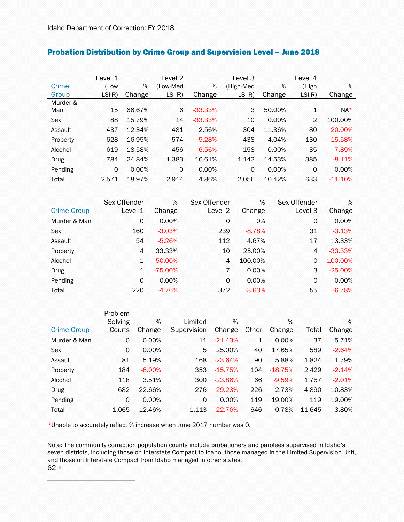|            | Level 1  |        | Level <sub>2</sub> |           | Level 3   |        | Level 4        |           |
|------------|----------|--------|--------------------|-----------|-----------|--------|----------------|-----------|
| Crime      | (Low     | %      | (Low-Med           | %         | (High-Med | %      | (High          | %         |
| Group      | $LSI-R)$ | Change | $LSI-R)$           | Change    | $LSI-R)$  | Change | $LSI-R)$       | Change    |
| Murder &   |          |        |                    |           |           |        |                |           |
| Man        | 15       | 66.67% | 6                  | $-33.33%$ | 3         | 50.00% | 1              | $NA*$     |
| <b>Sex</b> | 88       | 15.79% | 14                 | $-33.33%$ | 10        | 0.00%  | $\overline{2}$ | 100.00%   |
| Assault    | 437      | 12.34% | 481                | 2.56%     | 304       | 11.36% | 80             | $-20.00%$ |
| Property   | 628      | 16.95% | 574                | $-5.28%$  | 438       | 4.04%  | 130            | $-15.58%$ |
| Alcohol    | 619      | 18.58% | 456                | $-6.56%$  | 158       | 0.00%  | 35             | $-7.89%$  |
| Drug       | 784      | 24.84% | 1,383              | 16.61%    | 1,143     | 14.53% | 385            | $-8.11%$  |
| Pending    | 0        | 0.00%  | $\circ$            | 0.00%     | 0         | 0.00%  | 0              | 0.00%     |
| Total      | 2.571    | 18.97% | 2.914              | 4.86%     | 2.056     | 10.42% | 633            | $-11.10%$ |

#### Probation Distribution by Crime Group and Supervision Level - June 2018

|                    | Sex Offender | %         | Sex Offender | %        | Sex Offender | %           |
|--------------------|--------------|-----------|--------------|----------|--------------|-------------|
| <b>Crime Group</b> | Level 1      | Change    | Level 2      | Change   | Level 3      | Change      |
| Murder & Man       | 0            | 0.00%     | 0            | 0%       | 0            | 0.00%       |
| Sex                | 160          | $-3.03%$  | 239          | $-8.78%$ | 31           | $-3.13%$    |
| Assault            | 54           | $-5.26%$  | 112          | 4.67%    | 17           | 13.33%      |
| Property           | 4            | 33.33%    | 10           | 25.00%   | 4            | $-33.33%$   |
| Alcohol            | 1            | $-50.00%$ | 4            | 100.00%  | $\Omega$     | $-100.00\%$ |
| Drug               | $\mathbf{1}$ | $-75.00%$ | 7            | 0.00%    | 3            | $-25.00\%$  |
| Pending            | $\Omega$     | 0.00%     | 0            | 0.00%    | $\Omega$     | 0.00%       |
| Total              | 220          | $-4.76%$  | 372          | $-3.63%$ | 55           | $-6.78%$    |

|                    | Problem |          |             |           |       |           |        |          |
|--------------------|---------|----------|-------------|-----------|-------|-----------|--------|----------|
|                    | Solving | %        | Limited     | %         |       | %         |        | %        |
| <b>Crime Group</b> | Courts  | Change   | Supervision | Change    | Other | Change    | Total  | Change   |
| Murder & Man       | 0       | 0.00%    | 11          | $-21.43%$ | 1     | 0.00%     | 37     | 5.71%    |
| Sex                | 0       | 0.00%    | 5           | 25.00%    | 40    | 17.65%    | 589    | $-2.64%$ |
| Assault            | 81      | 5.19%    | 168         | $-23.64%$ | 90    | 5.88%     | 1,824  | 1.79%    |
| Property           | 184     | $-8.00%$ | 353         | $-15.75%$ | 104   | $-18.75%$ | 2,429  | $-2.14%$ |
| Alcohol            | 118     | 3.51%    | 300         | $-23.86%$ | 66    | $-9.59%$  | 1,757  | $-2.01%$ |
| Drug               | 682     | 22.66%   | 276         | $-29.23%$ | 226   | 2.73%     | 4,890  | 10.83%   |
| Pending            | 0       | 0.00%    | 0           | 0.00%     | 119   | 19.00%    | 119    | 19.00%   |
| Total              | 1,065   | 12.46%   | 1.113       | $-22.76%$ | 646   | 0.78%     | 11.645 | 3.80%    |

<span id="page-61-0"></span>\*Unable to accurately reflect % increase when June 2017 number was 0.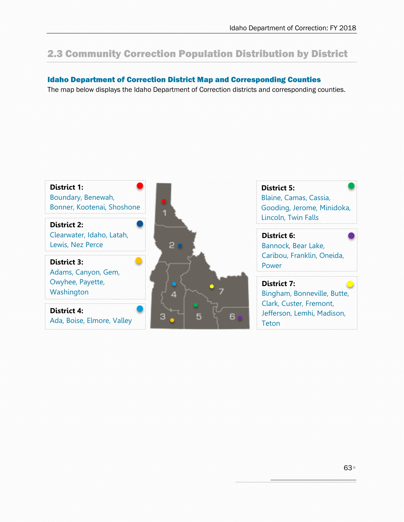## 2.3 Community Correction Population Distribution by District

#### Idaho Department of Correction District Map and Corresponding Counties

The map below displays the Idaho Department of Correction districts and corresponding counties.

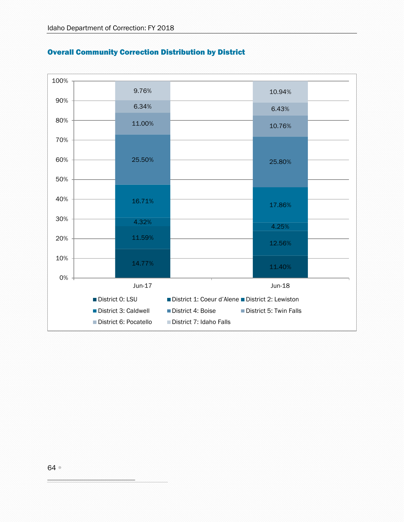

#### Overall Community Correction Distribution by District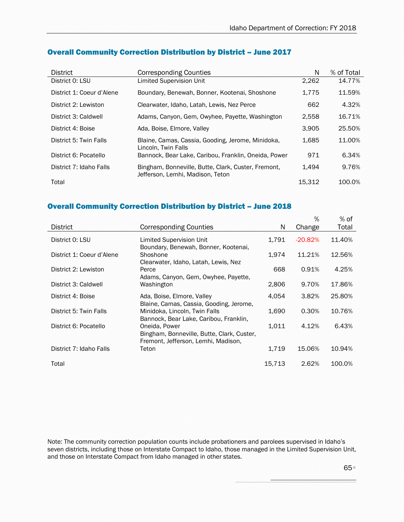| <b>District</b>           | <b>Corresponding Counties</b>                                                           | N      | % of Total |
|---------------------------|-----------------------------------------------------------------------------------------|--------|------------|
| District 0: LSU           | <b>Limited Supervision Unit</b>                                                         | 2,262  | 14.77%     |
| District 1: Coeur d'Alene | Boundary, Benewah, Bonner, Kootenai, Shoshone                                           | 1.775  | 11.59%     |
| District 2: Lewiston      | Clearwater, Idaho, Latah, Lewis, Nez Perce                                              | 662    | 4.32%      |
| District 3: Caldwell      | Adams, Canyon, Gem, Owyhee, Payette, Washington                                         | 2,558  | 16.71%     |
| District 4: Boise         | Ada, Boise, Elmore, Valley                                                              | 3.905  | 25.50%     |
| District 5: Twin Falls    | Blaine, Camas, Cassia, Gooding, Jerome, Minidoka,<br>Lincoln, Twin Falls                | 1,685  | 11.00%     |
| District 6: Pocatello     | Bannock, Bear Lake, Caribou, Franklin, Oneida, Power                                    | 971    | 6.34%      |
| District 7: Idaho Falls   | Bingham, Bonneville, Butte, Clark, Custer, Fremont,<br>Jefferson, Lemhi, Madison, Teton | 1.494  | 9.76%      |
| Total                     |                                                                                         | 15,312 | 100.0%     |

#### Overall Community Correction Distribution by District – June 2017

#### Overall Community Correction Distribution by District – June 2018

|                           |                                                                                                    |        | $\%$       | $%$ of |
|---------------------------|----------------------------------------------------------------------------------------------------|--------|------------|--------|
| <b>District</b>           | <b>Corresponding Counties</b>                                                                      | N      | Change     | Total  |
| District 0: LSU           | Limited Supervision Unit<br>Boundary, Benewah, Bonner, Kootenai,                                   | 1.791  | $-20.82\%$ | 11.40% |
| District 1: Coeur d'Alene | Shoshone<br>Clearwater, Idaho, Latah, Lewis, Nez                                                   | 1.974  | 11.21%     | 12.56% |
| District 2: Lewiston      | Perce<br>Adams, Canyon, Gem, Owyhee, Payette,                                                      | 668    | 0.91%      | 4.25%  |
| District 3: Caldwell      | Washington                                                                                         | 2,806  | 9.70%      | 17.86% |
| District 4: Boise         | Ada, Boise, Elmore, Valley<br>Blaine, Camas, Cassia, Gooding, Jerome,                              | 4,054  | 3.82%      | 25.80% |
| District 5: Twin Falls    | Minidoka, Lincoln, Twin Falls<br>Bannock, Bear Lake, Caribou, Franklin,                            | 1,690  | 0.30%      | 10.76% |
| District 6: Pocatello     | Oneida, Power<br>Bingham, Bonneville, Butte, Clark, Custer,<br>Fremont, Jefferson, Lemhi, Madison, | 1.011  | 4.12%      | 6.43%  |
| District 7: Idaho Falls   | Teton                                                                                              | 1.719  | 15.06%     | 10.94% |
| Total                     |                                                                                                    | 15.713 | 2.62%      | 100.0% |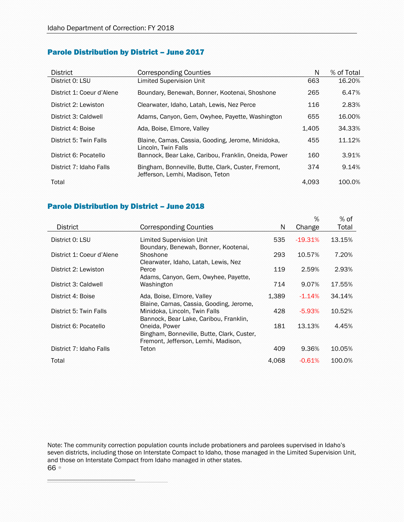#### Parole Distribution by District – June 2017

| District                  | Corresponding Counties                                                                  | N     | % of Total |
|---------------------------|-----------------------------------------------------------------------------------------|-------|------------|
| District 0: LSU           | Limited Supervision Unit                                                                | 663   | 16.20%     |
| District 1: Coeur d'Alene | Boundary, Benewah, Bonner, Kootenai, Shoshone                                           | 265   | 6.47%      |
| District 2: Lewiston      | Clearwater, Idaho, Latah, Lewis, Nez Perce                                              | 116   | 2.83%      |
| District 3: Caldwell      | Adams, Canyon, Gem, Owyhee, Payette, Washington                                         | 655   | 16.00%     |
| District 4: Boise         | Ada, Boise, Elmore, Valley                                                              | 1.405 | 34.33%     |
| District 5: Twin Falls    | Blaine, Camas, Cassia, Gooding, Jerome, Minidoka,<br>Lincoln, Twin Falls                | 455   | 11.12%     |
| District 6: Pocatello     | Bannock, Bear Lake, Caribou, Franklin, Oneida, Power                                    | 160   | 3.91%      |
| District 7: Idaho Falls   | Bingham, Bonneville, Butte, Clark, Custer, Fremont,<br>Jefferson, Lemhi, Madison, Teton | 374   | 9.14%      |
| Total                     |                                                                                         | 4.093 | 100.0%     |

#### Parole Distribution by District – June 2018

<span id="page-65-0"></span>

|                           |                                                                                                    |       | $\%$      | $%$ of |
|---------------------------|----------------------------------------------------------------------------------------------------|-------|-----------|--------|
| <b>District</b>           | <b>Corresponding Counties</b>                                                                      | N     | Change    | Total  |
| District 0: LSU           | Limited Supervision Unit<br>Boundary, Benewah, Bonner, Kootenai,                                   | 535   | $-19.31%$ | 13.15% |
| District 1: Coeur d'Alene | Shoshone                                                                                           | 293   | 10.57%    | 7.20%  |
| District 2: Lewiston      | Clearwater, Idaho, Latah, Lewis, Nez<br>Perce<br>Adams, Canyon, Gem, Owyhee, Payette,              | 119   | 2.59%     | 2.93%  |
| District 3: Caldwell      | Washington                                                                                         | 714   | 9.07%     | 17.55% |
| District 4: Boise         | Ada, Boise, Elmore, Valley<br>Blaine, Camas, Cassia, Gooding, Jerome,                              | 1,389 | $-1.14%$  | 34.14% |
| District 5: Twin Falls    | Minidoka, Lincoln, Twin Falls<br>Bannock, Bear Lake, Caribou, Franklin,                            | 428   | $-5.93%$  | 10.52% |
| District 6: Pocatello     | Oneida, Power<br>Bingham, Bonneville, Butte, Clark, Custer,<br>Fremont, Jefferson, Lemhi, Madison, | 181   | 13.13%    | 4.45%  |
| District 7: Idaho Falls   | Teton                                                                                              | 409   | 9.36%     | 10.05% |
| Total                     |                                                                                                    | 4,068 | $-0.61%$  | 100.0% |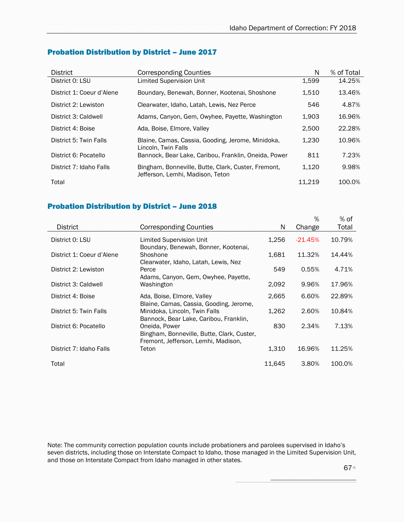#### Probation Distribution by District – June 2017

| District                  | <b>Corresponding Counties</b>                                                           | N      | % of Total |
|---------------------------|-----------------------------------------------------------------------------------------|--------|------------|
| District 0: LSU           | Limited Supervision Unit                                                                | 1,599  | 14.25%     |
| District 1: Coeur d'Alene | Boundary, Benewah, Bonner, Kootenai, Shoshone                                           | 1,510  | 13.46%     |
| District 2: Lewiston      | Clearwater, Idaho, Latah, Lewis, Nez Perce                                              | 546    | 4.87%      |
| District 3: Caldwell      | Adams, Canyon, Gem, Owyhee, Payette, Washington                                         | 1,903  | 16.96%     |
| District 4: Boise         | Ada, Boise, Elmore, Valley                                                              | 2,500  | 22.28%     |
| District 5: Twin Falls    | Blaine, Camas, Cassia, Gooding, Jerome, Minidoka,<br>Lincoln, Twin Falls                | 1,230  | 10.96%     |
| District 6: Pocatello     | Bannock, Bear Lake, Caribou, Franklin, Oneida, Power                                    | 811    | 7.23%      |
| District 7: Idaho Falls   | Bingham, Bonneville, Butte, Clark, Custer, Fremont,<br>Jefferson, Lemhi, Madison, Teton | 1.120  | 9.98%      |
| Total                     |                                                                                         | 11.219 | 100.0%     |

#### Probation Distribution by District – June 2018

<span id="page-66-0"></span>

|                           |                                                                                                    |        | %         | $%$ of |
|---------------------------|----------------------------------------------------------------------------------------------------|--------|-----------|--------|
| <b>District</b>           | <b>Corresponding Counties</b>                                                                      | N      | Change    | Total  |
| District 0: LSU           | Limited Supervision Unit<br>Boundary, Benewah, Bonner, Kootenai,                                   | 1.256  | $-21.45%$ | 10.79% |
| District 1: Coeur d'Alene | Shoshone<br>Clearwater, Idaho, Latah, Lewis, Nez                                                   | 1,681  | 11.32%    | 14.44% |
| District 2: Lewiston      | Perce<br>Adams, Canyon, Gem, Owyhee, Payette,                                                      | 549    | 0.55%     | 4.71%  |
| District 3: Caldwell      | Washington                                                                                         | 2,092  | 9.96%     | 17.96% |
| District 4: Boise         | Ada, Boise, Elmore, Valley<br>Blaine, Camas, Cassia, Gooding, Jerome,                              | 2,665  | 6.60%     | 22.89% |
| District 5: Twin Falls    | Minidoka, Lincoln, Twin Falls<br>Bannock, Bear Lake, Caribou, Franklin,                            | 1.262  | 2.60%     | 10.84% |
| District 6: Pocatello     | Oneida, Power<br>Bingham, Bonneville, Butte, Clark, Custer,<br>Fremont, Jefferson, Lemhi, Madison, | 830    | 2.34%     | 7.13%  |
| District 7: Idaho Falls   | Teton                                                                                              | 1,310  | 16.96%    | 11.25% |
| Total                     |                                                                                                    | 11.645 | 3.80%     | 100.0% |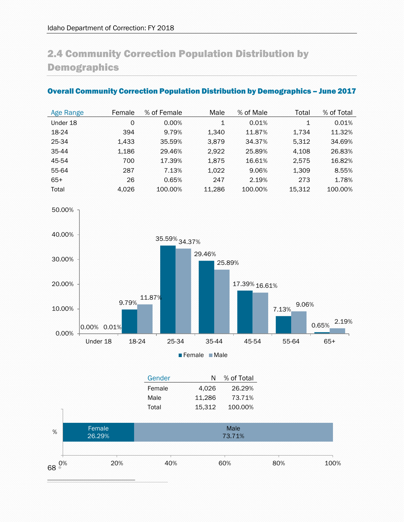# 2.4 Community Correction Population Distribution by **Demographics**

#### Overall Community Correction Population Distribution by Demographics – June 2017

| Age Range | Female | % of Female | Male   | % of Male | Total  | % of Total |
|-----------|--------|-------------|--------|-----------|--------|------------|
| Under 18  | 0      | $0.00\%$    | 1      | 0.01%     | 1      | 0.01%      |
| 18-24     | 394    | 9.79%       | 1.340  | 11.87%    | 1.734  | 11.32%     |
| 25-34     | 1.433  | 35.59%      | 3.879  | 34.37%    | 5.312  | 34.69%     |
| 35-44     | 1.186  | 29.46%      | 2.922  | 25.89%    | 4,108  | 26.83%     |
| 45-54     | 700    | 17.39%      | 1.875  | 16.61%    | 2.575  | 16.82%     |
| 55-64     | 287    | 7.13%       | 1.022  | 9.06%     | 1.309  | 8.55%      |
| $65+$     | 26     | 0.65%       | 247    | 2.19%     | 273    | 1.78%      |
| Total     | 4.026  | 100.00%     | 11.286 | 100.00%   | 15.312 | 100.00%    |



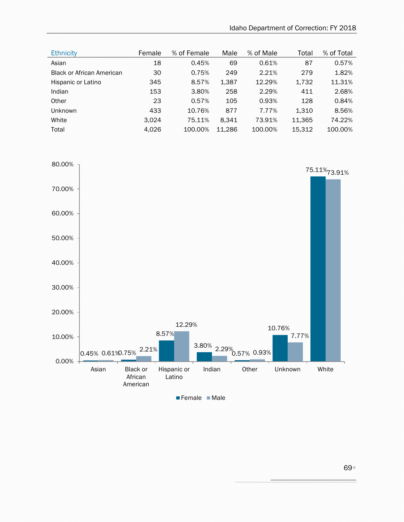| <b>Ethnicity</b>                 | Female | % of Female | Male   | % of Male | Total  | % of Total |
|----------------------------------|--------|-------------|--------|-----------|--------|------------|
| Asian                            | 18     | 0.45%       | 69     | 0.61%     | 87     | 0.57%      |
| <b>Black or African American</b> | 30     | 0.75%       | 249    | 2.21%     | 279    | 1.82%      |
| Hispanic or Latino               | 345    | 8.57%       | 1,387  | 12.29%    | 1,732  | 11.31%     |
| Indian                           | 153    | 3.80%       | 258    | 2.29%     | 411    | 2.68%      |
| Other                            | 23     | 0.57%       | 105    | 0.93%     | 128    | 0.84%      |
| <b>Unknown</b>                   | 433    | 10.76%      | 877    | 7.77%     | 1,310  | 8.56%      |
| White                            | 3.024  | 75.11%      | 8.341  | 73.91%    | 11.365 | 74.22%     |
| Total                            | 4,026  | 100.00%     | 11,286 | 100.00%   | 15,312 | 100.00%    |

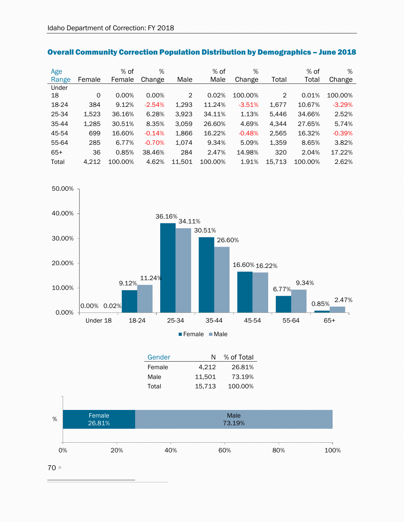| Age   |         | % of    | %        |                | $%$ of  | %        |                | $%$ of  | %        |
|-------|---------|---------|----------|----------------|---------|----------|----------------|---------|----------|
| Range | Female  | Female  | Change   | Male           | Male    | Change   | Total          | Total   | Change   |
| Under |         |         |          |                |         |          |                |         |          |
| 18    | $\circ$ | 0.00%   | 0.00%    | $\overline{2}$ | 0.02%   | 100.00%  | $\overline{2}$ | 0.01%   | 100.00%  |
| 18-24 | 384     | 9.12%   | $-2.54%$ | 1,293          | 11.24%  | $-3.51%$ | 1,677          | 10.67%  | $-3.29%$ |
| 25-34 | 1,523   | 36.16%  | 6.28%    | 3,923          | 34.11%  | 1.13%    | 5,446          | 34.66%  | 2.52%    |
| 35-44 | 1,285   | 30.51%  | 8.35%    | 3.059          | 26.60%  | 4.69%    | 4.344          | 27.65%  | 5.74%    |
| 45-54 | 699     | 16.60%  | $-0.14%$ | 1,866          | 16.22%  | $-0.48%$ | 2,565          | 16.32%  | $-0.39%$ |
| 55-64 | 285     | 6.77%   | $-0.70%$ | 1,074          | 9.34%   | 5.09%    | 1,359          | 8.65%   | 3.82%    |
| $65+$ | 36      | 0.85%   | 38.46%   | 284            | 2.47%   | 14.98%   | 320            | 2.04%   | 17.22%   |
| Total | 4.212   | 100.00% | 4.62%    | 11.501         | 100.00% | 1.91%    | 15.713         | 100.00% | 2.62%    |

## Overall Community Correction Population Distribution by Demographics – June 2018



| Gender | N      | % of Total |
|--------|--------|------------|
| Female | 4.212  | 26.81%     |
| Male   | 11.501 | 73.19%     |
| Total  | 15.713 | 100.00%    |



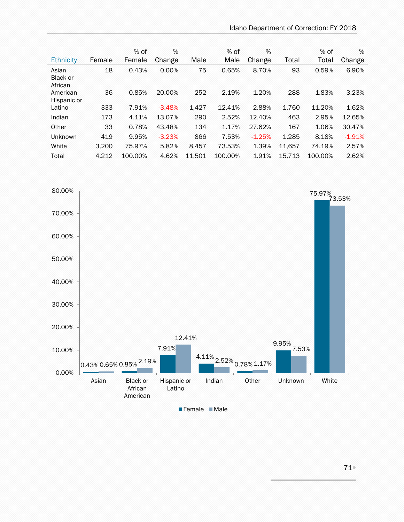| <b>Ethnicity</b>                    | Female | $%$ of<br>Female | %<br>Change | Male   | $%$ of<br>Male | %<br>Change | Total  | $%$ of<br>Total | %<br>Change |
|-------------------------------------|--------|------------------|-------------|--------|----------------|-------------|--------|-----------------|-------------|
| Asian<br><b>Black or</b><br>African | 18     | 0.43%            | 0.00%       | 75     | 0.65%          | 8.70%       | 93     | 0.59%           | 6.90%       |
| American<br>Hispanic or             | 36     | 0.85%            | 20.00%      | 252    | 2.19%          | 1.20%       | 288    | 1.83%           | 3.23%       |
| Latino                              | 333    | 7.91%            | $-3.48%$    | 1,427  | 12.41%         | 2.88%       | 1.760  | 11.20%          | 1.62%       |
| Indian                              | 173    | 4.11%            | 13.07%      | 290    | 2.52%          | 12.40%      | 463    | 2.95%           | 12.65%      |
| Other                               | 33     | 0.78%            | 43.48%      | 134    | 1.17%          | 27.62%      | 167    | 1.06%           | 30.47%      |
| Unknown                             | 419    | 9.95%            | $-3.23%$    | 866    | 7.53%          | $-1.25%$    | 1.285  | 8.18%           | $-1.91%$    |
| White                               | 3.200  | 75.97%           | 5.82%       | 8.457  | 73.53%         | 1.39%       | 11.657 | 74.19%          | 2.57%       |
| Total                               | 4,212  | 100.00%          | 4.62%       | 11.501 | 100.00%        | 1.91%       | 15.713 | 100.00%         | 2.62%       |



71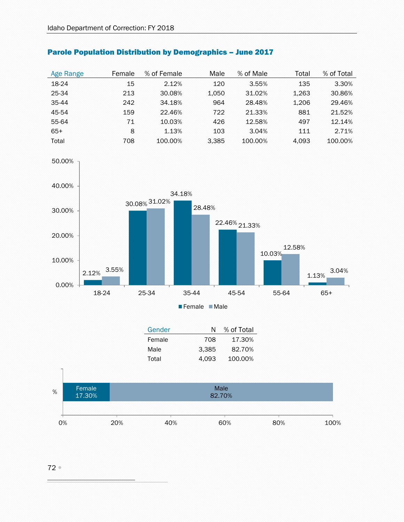| Age Range | Female | % of Female | Male  | % of Male | Total | % of Total |
|-----------|--------|-------------|-------|-----------|-------|------------|
| 18-24     | 15     | 2.12%       | 120   | 3.55%     | 135   | 3.30%      |
| 25-34     | 213    | 30.08%      | 1.050 | 31.02%    | 1.263 | 30.86%     |
| 35-44     | 242    | 34.18%      | 964   | 28.48%    | 1.206 | 29.46%     |
| 45-54     | 159    | 22.46%      | 722   | 21.33%    | 881   | 21.52%     |
| 55-64     | 71     | 10.03%      | 426   | 12.58%    | 497   | 12.14%     |
| $65+$     | 8      | 1.13%       | 103   | 3.04%     | 111   | 2.71%      |
| Total     | 708    | 100.00%     | 3.385 | 100.00%   | 4.093 | 100.00%    |

## Parole Population Distribution by Demographics – June 2017



| Gender |       | N % of Total |
|--------|-------|--------------|
| Female | 708   | 17.30%       |
| Male   | 3.385 | 82.70%       |
| Total  | 4.093 | 100.00%      |
|        |       |              |



#### 72

50.00%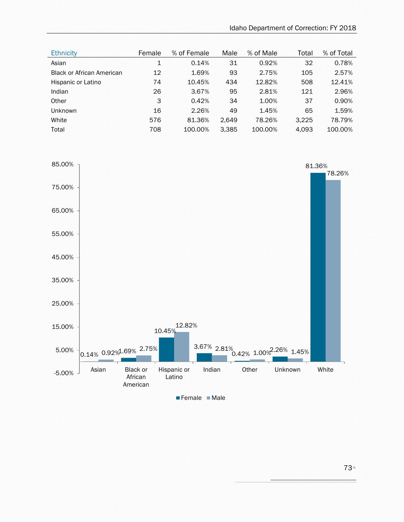| <b>Ethnicity</b>                 | Female      | % of Female | Male  | % of Male | Total | % of Total |
|----------------------------------|-------------|-------------|-------|-----------|-------|------------|
| Asian                            | $\mathbf 1$ | 0.14%       | 31    | 0.92%     | 32    | 0.78%      |
| <b>Black or African American</b> | 12          | 1.69%       | 93    | 2.75%     | 105   | 2.57%      |
| Hispanic or Latino               | 74          | 10.45%      | 434   | 12.82%    | 508   | 12.41%     |
| Indian                           | 26          | 3.67%       | 95    | 2.81%     | 121   | 2.96%      |
| Other                            | 3           | 0.42%       | 34    | 1.00%     | 37    | 0.90%      |
| <b>Unknown</b>                   | 16          | 2.26%       | 49    | 1.45%     | 65    | 1.59%      |
| White                            | 576         | 81.36%      | 2,649 | 78.26%    | 3.225 | 78.79%     |
| Total                            | 708         | 100.00%     | 3,385 | 100.00%   | 4,093 | 100.00%    |

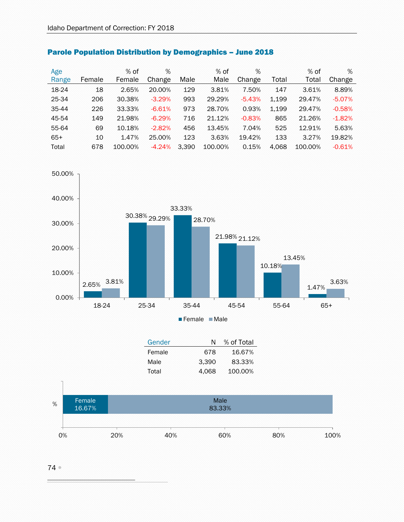| Age   |        | $%$ of  | %        |       | $%$ of  | %        |       | $%$ of  | %        |
|-------|--------|---------|----------|-------|---------|----------|-------|---------|----------|
| Range | Female | Female  | Change   | Male  | Male    | Change   | Total | Total   | Change   |
| 18-24 | 18     | 2.65%   | 20.00%   | 129   | 3.81%   | 7.50%    | 147   | 3.61%   | 8.89%    |
| 25-34 | 206    | 30.38%  | $-3.29%$ | 993   | 29.29%  | $-5.43%$ | 1,199 | 29.47%  | $-5.07%$ |
| 35-44 | 226    | 33.33%  | $-6.61%$ | 973   | 28.70%  | 0.93%    | 1,199 | 29.47%  | $-0.58%$ |
| 45-54 | 149    | 21.98%  | $-6.29%$ | 716   | 21.12%  | $-0.83%$ | 865   | 21.26%  | $-1.82%$ |
| 55-64 | 69     | 10.18%  | $-2.82%$ | 456   | 13.45%  | 7.04%    | 525   | 12.91%  | 5.63%    |
| $65+$ | 10     | 1.47%   | 25.00%   | 123   | 3.63%   | 19.42%   | 133   | 3.27%   | 19.82%   |
| Total | 678    | 100.00% | $-4.24%$ | 3.390 | 100.00% | 0.15%    | 4,068 | 100.00% | $-0.61%$ |





| Gender | N     | % of Total |
|--------|-------|------------|
| Female | 678   | 16.67%     |
| Male   | 3.390 | 83.33%     |
| Total  | 4.068 | 100.00%    |



74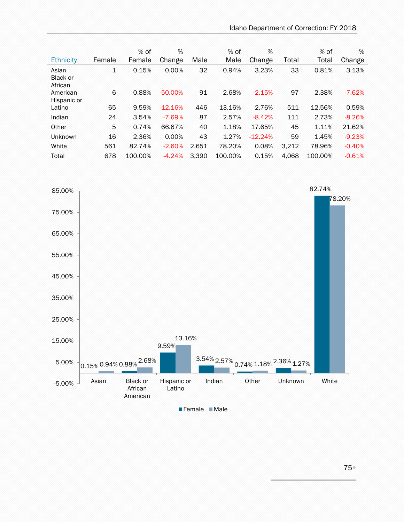| Ethnicity                           | Female | $%$ of<br>Female | %<br>Change | Male  | % of<br>Male | %<br>Change | Total | % of<br>Total | %<br>Change |
|-------------------------------------|--------|------------------|-------------|-------|--------------|-------------|-------|---------------|-------------|
| Asian<br><b>Black or</b><br>African | 1      | 0.15%            | 0.00%       | 32    | 0.94%        | 3.23%       | 33    | 0.81%         | 3.13%       |
| American<br>Hispanic or             | 6      | 0.88%            | $-50.00%$   | 91    | 2.68%        | $-2.15%$    | 97    | 2.38%         | $-7.62%$    |
| Latino                              | 65     | 9.59%            | $-12.16%$   | 446   | 13.16%       | 2.76%       | 511   | 12.56%        | 0.59%       |
| Indian                              | 24     | 3.54%            | $-7.69%$    | 87    | 2.57%        | $-8.42%$    | 111   | 2.73%         | $-8.26%$    |
| Other                               | 5      | 0.74%            | 66.67%      | 40    | 1.18%        | 17.65%      | 45    | 1.11%         | 21.62%      |
| Unknown                             | 16     | 2.36%            | 0.00%       | 43    | 1.27%        | $-12.24%$   | 59    | 1.45%         | $-9.23%$    |
| White                               | 561    | 82.74%           | $-2.60%$    | 2.651 | 78.20%       | 0.08%       | 3,212 | 78.96%        | $-0.40%$    |
| Total                               | 678    | 100.00%          | $-4.24%$    | 3.390 | 100.00%      | 0.15%       | 4.068 | 100.00%       | $-0.61%$    |



75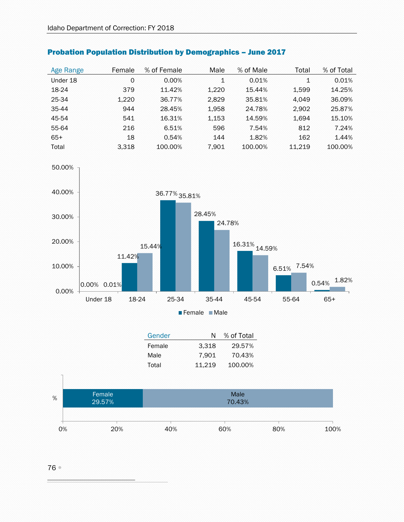| Age Range | Female | % of Female | Male  | % of Male | Total  | % of Total |
|-----------|--------|-------------|-------|-----------|--------|------------|
| Under 18  | 0      | $0.00\%$    | 1     | 0.01%     | 1      | 0.01%      |
| 18-24     | 379    | 11.42%      | 1.220 | 15.44%    | 1.599  | 14.25%     |
| 25-34     | 1.220  | 36.77%      | 2.829 | 35.81%    | 4.049  | 36.09%     |
| 35-44     | 944    | 28.45%      | 1.958 | 24.78%    | 2.902  | 25.87%     |
| 45-54     | 541    | 16.31%      | 1.153 | 14.59%    | 1.694  | 15.10%     |
| 55-64     | 216    | 6.51%       | 596   | 7.54%     | 812    | 7.24%      |
| $65+$     | 18     | 0.54%       | 144   | 1.82%     | 162    | 1.44%      |
| Total     | 3.318  | 100.00%     | 7.901 | 100.00%   | 11.219 | 100.00%    |





| 3.318<br>Female<br>29.57%<br>70.43%<br>Male<br>7.901 |
|------------------------------------------------------|
|                                                      |
|                                                      |
| 11,219<br>100.00%<br>Total                           |



50.00%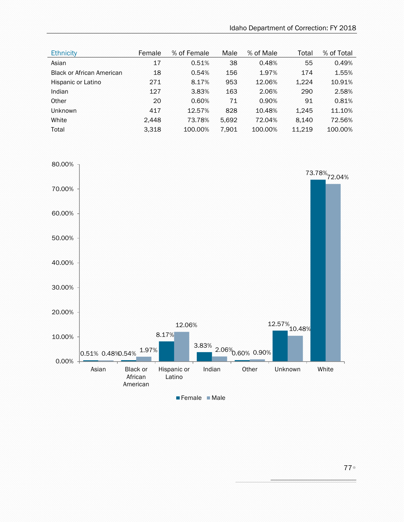| <b>Ethnicity</b>                 | Female | % of Female | Male  | % of Male | Total  | % of Total |
|----------------------------------|--------|-------------|-------|-----------|--------|------------|
| <b>Asian</b>                     | 17     | 0.51%       | 38    | 0.48%     | 55     | 0.49%      |
| <b>Black or African American</b> | 18     | 0.54%       | 156   | 1.97%     | 174    | 1.55%      |
| Hispanic or Latino               | 271    | 8.17%       | 953   | 12.06%    | 1,224  | 10.91%     |
| Indian                           | 127    | 3.83%       | 163   | 2.06%     | 290    | 2.58%      |
| Other                            | 20     | 0.60%       | 71    | 0.90%     | 91     | 0.81%      |
| <b>Unknown</b>                   | 417    | 12.57%      | 828   | 10.48%    | 1,245  | 11.10%     |
| White                            | 2,448  | 73.78%      | 5,692 | 72.04%    | 8,140  | 72.56%     |
| Total                            | 3.318  | 100.00%     | 7,901 | 100.00%   | 11.219 | 100.00%    |

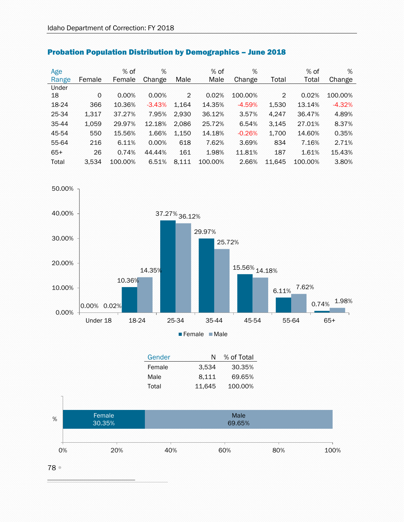| Age   |        | $%$ of  | %        |       | $%$ of  | %        |        | $%$ of  | %        |
|-------|--------|---------|----------|-------|---------|----------|--------|---------|----------|
| Range | Female | Female  | Change   | Male  | Male    | Change   | Total  | Total   | Change   |
| Under |        |         |          |       |         |          |        |         |          |
| 18    | 0      | 0.00%   | 0.00%    | 2     | 0.02%   | 100.00%  | 2      | 0.02%   | 100.00%  |
| 18-24 | 366    | 10.36%  | $-3.43%$ | 1.164 | 14.35%  | $-4.59%$ | 1,530  | 13.14%  | $-4.32%$ |
| 25-34 | 1,317  | 37.27%  | 7.95%    | 2,930 | 36.12%  | 3.57%    | 4,247  | 36.47%  | 4.89%    |
| 35-44 | 1,059  | 29.97%  | 12.18%   | 2,086 | 25.72%  | 6.54%    | 3,145  | 27.01%  | 8.37%    |
| 45-54 | 550    | 15.56%  | 1.66%    | 1,150 | 14.18%  | $-0.26%$ | 1,700  | 14.60%  | 0.35%    |
| 55-64 | 216    | 6.11%   | 0.00%    | 618   | 7.62%   | 3.69%    | 834    | 7.16%   | 2.71%    |
| $65+$ | 26     | 0.74%   | 44.44%   | 161   | 1.98%   | 11.81%   | 187    | 1.61%   | 15.43%   |
| Total | 3.534  | 100.00% | 6.51%    | 8,111 | 100.00% | 2.66%    | 11,645 | 100.00% | 3.80%    |

## Probation Population Distribution by Demographics – June 2018



| Gender | N      | % of Total |
|--------|--------|------------|
| Female | 3.534  | 30.35%     |
| Male   | 8.111  | 69.65%     |
| Total  | 11.645 | 100.00%    |



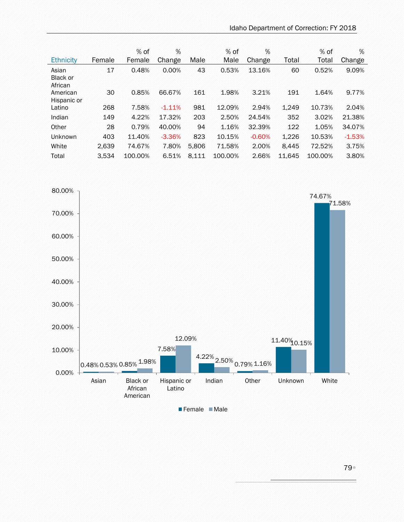| Female | $%$ of<br>Female | %<br>Change | Male  | $%$ of<br>Male | %<br>Change | Total  | $%$ of<br>Total | %<br>Change |
|--------|------------------|-------------|-------|----------------|-------------|--------|-----------------|-------------|
| 17     | 0.48%            | 0.00%       | 43    | 0.53%          | 13.16%      | 60     | 0.52%           | 9.09%       |
| 30     | 0.85%            | 66.67%      | 161   | 1.98%          | 3.21%       | 191    | 1.64%           | 9.77%       |
| 268    | 7.58%            | $-1.11%$    | 981   | 12.09%         | 2.94%       | 1.249  | 10.73%          | 2.04%       |
| 149    | 4.22%            | 17.32%      | 203   | 2.50%          | 24.54%      | 352    | 3.02%           | 21.38%      |
| 28     | 0.79%            | 40.00%      | 94    | 1.16%          | 32.39%      | 122    | 1.05%           | 34.07%      |
| 403    | 11.40%           | $-3.36%$    | 823   | 10.15%         | $-0.60%$    | 1,226  | 10.53%          | $-1.53%$    |
| 2,639  | 74.67%           | 7.80%       | 5,806 | 71.58%         | 2.00%       | 8.445  | 72.52%          | 3.75%       |
| 3.534  | 100.00%          | 6.51%       | 8,111 | 100.00%        | 2.66%       | 11.645 | 100.00%         | 3.80%       |
|        |                  |             |       |                |             |        |                 |             |



79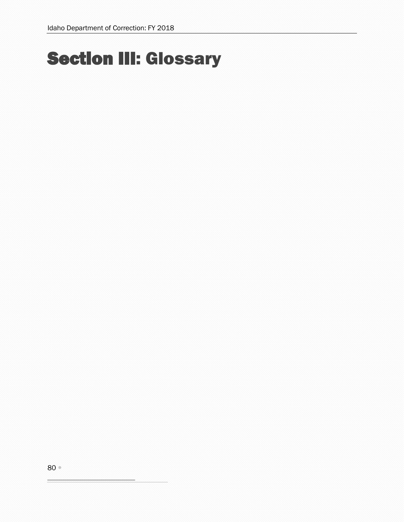## Section III: Glossary

80

÷